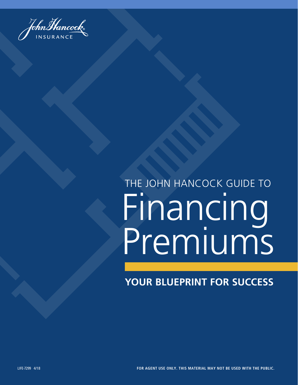

## Financing Premiums THE JOHN HANCOCK GUIDE TO

### **YOUR BLUEPRINT FOR SUCCESS**

LIFE-7299 4/18 **FOUNDATIONAL CONCEPTS C FOR AGENT USE ONLY. THIS MATERIAL MAY NOT BE USED WITH THE PUBLIC.**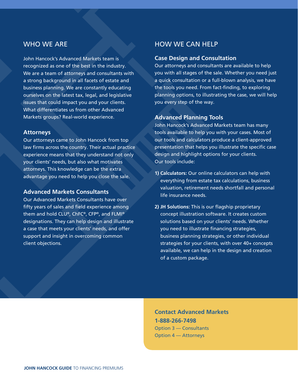#### WHO WE ARE

John Hancock's Advanced Markets team is recognized as one of the best in the industry. We are a team of attorneys and consultants with a strong background in all facets of estate and business planning. We are constantly educating ourselves on the latest tax, legal, and legislative issues that could impact you and your clients. What differentiates us from other Advanced Markets groups? Real-world experience.

#### **Attorneys**

Our attorneys came to John Hancock from top law firms across the country. Their actual practice experience means that they understand not only your clients' needs, but also what motivates attorneys. This knowledge can be the extra advantage you need to help you close the sale.

#### **Advanced Markets Consultants**

Our Advanced Markets Consultants have over fifty years of sales and field experience among them and hold CLU®, ChFC®, CFP®, and FLMI® designations. They can help design and illustrate a case that meets your clients' needs, and offer support and insight in overcoming common client objections.

#### HOW WE CAN HELP

#### **Case Design and Consultation**

Our attorneys and consultants are available to help you with all stages of the sale. Whether you need just a quick consultation or a full-blown analysis, we have the tools you need. From fact-finding, to exploring planning options, to illustrating the case, we will help you every step of the way.

#### **Advanced Planning Tools**

John Hancock's Advanced Markets team has many tools available to help you with your cases. Most of our tools and calculators produce a client-approved presentation that helps you illustrate the specific case design and highlight options for your clients. Our tools include:

- **1) Calculators:** Our online calculators can help with everything from estate tax calculations, business valuation, retirement needs shortfall and personal life insurance needs.
- **2) JH Solutions:** This is our flagship proprietary concept illustration software. It creates custom solutions based on your clients' needs. Whether you need to illustrate financing strategies, business planning strategies, or other individual strategies for your clients, with over 40+ concepts available, we can help in the design and creation of a custom package.

**Contact Advanced Markets 1-888-266-7498** Option 3 — Consultants Option 4 — Attorneys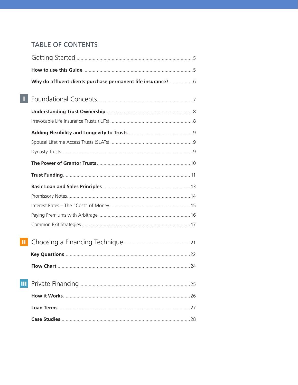#### **TABLE OF CONTENTS**

|   | Why do affluent clients purchase permanent life insurance?6 |  |
|---|-------------------------------------------------------------|--|
|   |                                                             |  |
|   |                                                             |  |
|   |                                                             |  |
|   |                                                             |  |
|   |                                                             |  |
|   |                                                             |  |
|   |                                                             |  |
|   |                                                             |  |
|   |                                                             |  |
|   |                                                             |  |
|   |                                                             |  |
|   |                                                             |  |
|   |                                                             |  |
|   |                                                             |  |
|   |                                                             |  |
|   |                                                             |  |
| Ш |                                                             |  |
|   |                                                             |  |
|   |                                                             |  |
|   |                                                             |  |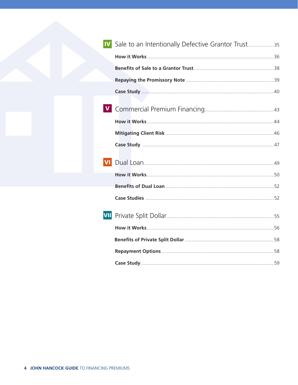|     | Sale to an Intentionally Defective Grantor Trust35 |  |
|-----|----------------------------------------------------|--|
|     |                                                    |  |
|     |                                                    |  |
|     |                                                    |  |
|     |                                                    |  |
|     |                                                    |  |
|     |                                                    |  |
|     |                                                    |  |
|     |                                                    |  |
|     |                                                    |  |
|     |                                                    |  |
|     |                                                    |  |
|     |                                                    |  |
| VII |                                                    |  |
|     |                                                    |  |
|     |                                                    |  |
|     |                                                    |  |
|     |                                                    |  |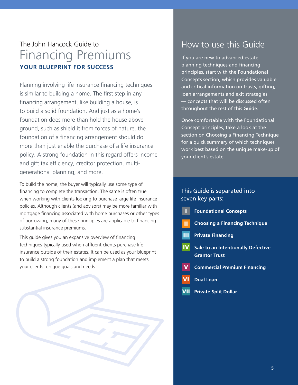### The John Hancock Guide to Financing Premiums **YOUR BLUEPRINT FOR SUCCESS**

Planning involving life insurance financing techniques is similar to building a home. The first step in any financing arrangement, like building a house, is to build a solid foundation. And just as a home's foundation does more than hold the house above ground, such as shield it from forces of nature, the foundation of a financing arrangement should do more than just enable the purchase of a life insurance policy. A strong foundation in this regard offers income and gift tax efficiency, creditor protection, multigenerational planning, and more.

To build the home, the buyer will typically use some type of financing to complete the transaction. The same is often true when working with clients looking to purchase large life insurance policies. Although clients (and advisors) may be more familiar with mortgage financing associated with home purchases or other types of borrowing, many of these principles are applicable to financing substantial insurance premiums.

This guide gives you an expansive overview of financing techniques typically used when affluent clients purchase life insurance outside of their estates. It can be used as your blueprint to build a strong foundation and implement a plan that meets your clients' unique goals and needs.



### How to use this Guide

If you are new to advanced estate planning techniques and financing principles, start with the Foundational Concepts section, which provides valuable and critical information on trusts, gifting, loan arrangements and exit strategies — concepts that will be discussed often throughout the rest of this Guide.

Once comfortable with the Foundational Concept principles, take a look at the section on Choosing a Financing Technique for a quick summary of which techniques work best based on the unique make-up of your client's estate.

#### This Guide is separated into seven key parts:

- **Foundational Concepts** I
- **Choosing a Financing Technique** II
- **III** Private Financing
- **Sale to an Intentionally Defective Grantor Trust** IV
- **Commercial Premium Financing** V
- **Dual Loan** VI
- **Private Split Dollar** VII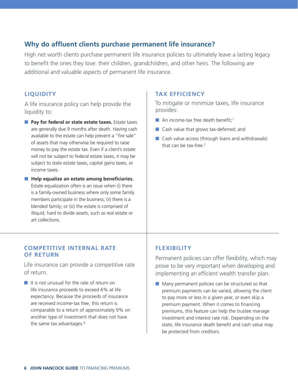#### **Why do affluent clients purchase permanent life insurance?**

High net worth clients purchase permanent life insurance policies to ultimately leave a lasting legacy to benefit the ones they love: their children, grandchildren, and other heirs. The following are additional and valuable aspects of permanent life insurance.

#### **LIQUIDITY**

A life insurance policy can help provide the liquidity to:

- **Pay for federal or state estate taxes.** Estate taxes are generally due 9 months after death. Having cash available to the estate can help prevent a "fire sale" of assets that may otherwise be required to raise money to pay the estate tax. Even if a client's estate will not be subject to federal estate taxes, it may be subject to state estate taxes, capital gains taxes, or income taxes.
- Help equalize an estate among beneficiaries. Estate equalization often is an issue when (i) there is a family-owned business where only some family members participate in the business; (ii) there is a blended family; or (iii) the estate is comprised of illiquid, hard to divide assets, such as real estate or art collections.

#### **COMPETITIVE INTERNAL RATE OF RETURN**

Life insurance can provide a competitive rate of return.

■ It is not unusual for the rate of return on life insurance proceeds to exceed 6% at life expectancy. Because the proceeds of insurance are received income-tax free, this return is comparable to a return of approximately 9% on another type of investment that does not have the same tax advantages.<sup>3</sup>

#### **TAX EFFICIENCY**

To mitigate or minimize taxes, life insurance provides:

- $\blacksquare$  An income-tax free death benefit;<sup>1</sup>
- Cash value that grows tax-deferred; and
- Cash value access (through loans and withdrawals) that can be tax-free.<sup>2</sup>

#### **FLEXIBILITY**

Permanent policies can offer flexibility, which may prove to be very important when developing and implementing an efficient wealth transfer plan.

■ Many permanent policies can be structured so that premium payments can be varied, allowing the client to pay more or less in a given year, or even skip a premium payment. When it comes to financing premiums, this feature can help the trustee manage investment and interest rate risk. Depending on the state, life insurance death benefit and cash value may be protected from creditors.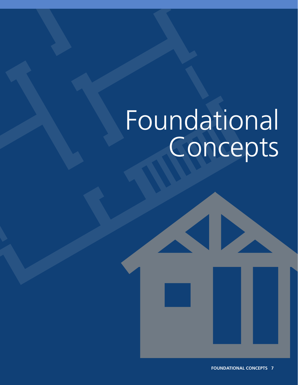## Foundational Concepts

 $\blacktriangleleft$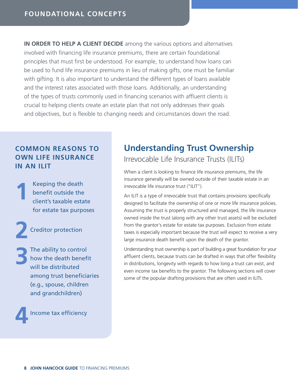**IN ORDER TO HELP A CLIENT DECIDE** among the various options and alternatives involved with financing life insurance premiums, there are certain foundational principles that must first be understood. For example, to understand how loans can be used to fund life insurance premiums in lieu of making gifts, one must be familiar with gifting. It is also important to understand the different types of loans available and the interest rates associated with those loans. Additionally, an understanding of the types of trusts commonly used in financing scenarios with affluent clients is crucial to helping clients create an estate plan that not only addresses their goals and objectives, but is flexible to changing needs and circumstances down the road.

#### **COMMON REASONS TO OWN LIFE INSURANCE IN AN ILIT**

 Keeping the death benefit outside the client's taxable estate for estate tax purposes **1**

Creditor protection **2**

 The ability to control how the death benefit will be distributed among trust beneficiaries (e.g., spouse, children and grandchildren) **3**

Income tax efficiency **4**

### **Understanding Trust Ownership**

Irrevocable Life Insurance Trusts (ILITs)

When a client is looking to finance life insurance premiums, the life insurance generally will be owned outside of their taxable estate in an irrevocable life insurance trust ("ILIT").

An ILIT is a type of irrevocable trust that contains provisions specifically designed to facilitate the ownership of one or more life insurance policies. Assuming the trust is properly structured and managed, the life insurance owned inside the trust (along with any other trust assets) will be excluded from the grantor's estate for estate tax purposes. Exclusion from estate taxes is especially important because the trust will expect to receive a very large insurance death benefit upon the death of the grantor.

Understanding trust ownership is part of building a great foundation for your affluent clients, because trusts can be drafted in ways that offer flexibility in distributions, longevity with regards to how long a trust can exist, and even income tax benefits to the grantor. The following sections will cover some of the popular drafting provisions that are often used in ILITs.

**8 JOHN HANCOCK GUIDE** TO FINANCING PREMIUMS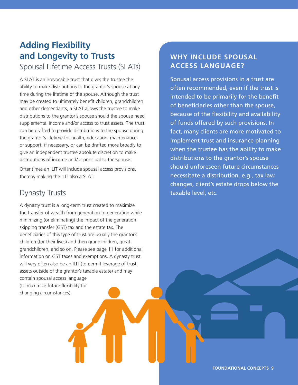### **Adding Flexibility and Longevity to Trusts**

#### Spousal Lifetime Access Trusts (SLATs)

A SLAT is an irrevocable trust that gives the trustee the ability to make distributions to the grantor's spouse at any time during the lifetime of the spouse. Although the trust may be created to ultimately benefit children, grandchildren and other descendants, a SLAT allows the trustee to make distributions to the grantor's spouse should the spouse need supplemental income and/or access to trust assets. The trust can be drafted to provide distributions to the spouse during the grantor's lifetime for health, education, maintenance or support, if necessary, or can be drafted more broadly to give an independent trustee absolute discretion to make distributions of income and/or principal to the spouse.

Oftentimes an ILIT will include spousal access provisions, thereby making the ILIT also a SLAT.

#### Dynasty Trusts

A dynasty trust is a long-term trust created to maximize the transfer of wealth from generation to generation while minimizing (or eliminating) the impact of the generation skipping transfer (GST) tax and the estate tax. The beneficiaries of this type of trust are usually the grantor's children (for their lives) and then grandchildren, great grandchildren, and so on. Please see page 11 for additional information on GST taxes and exemptions. A dynasty trust will very often also be an ILIT (to permit leverage of trust assets outside of the grantor's taxable estate) and may contain spousal access language (to maximize future flexibility for changing circumstances).

#### **WHY INCLUDE SPOUSAL ACCESS LANGUAGE?**

Spousal access provisions in a trust are often recommended, even if the trust is intended to be primarily for the benefit of beneficiaries other than the spouse, because of the flexibility and availability of funds offered by such provisions. In fact, many clients are more motivated to implement trust and insurance planning when the trustee has the ability to make distributions to the grantor's spouse should unforeseen future circumstances necessitate a distribution, e.g., tax law changes, client's estate drops below the taxable level, etc.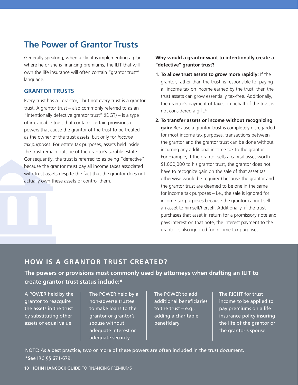### **The Power of Grantor Trusts**

Generally speaking, when a client is implementing a plan where he or she is financing premiums, the ILIT that will own the life insurance will often contain "grantor trust" language.

#### **GRANTOR TRUSTS**

Every trust has a "grantor," but not every trust is a grantor trust. A grantor trust – also commonly referred to as an "intentionally defective grantor trust" (IDGT) – is a type of irrevocable trust that contains certain provisions or powers that cause the grantor of the trust to be treated as the owner of the trust assets, but only for *income tax purposes*. For estate tax purposes, assets held inside the trust remain outside of the grantor's taxable estate. Consequently, the trust is referred to as being "defective" because the grantor must pay all income taxes associated with trust assets despite the fact that the grantor does not actually own these assets or control them.

#### **Why would a grantor want to intentionally create a "defective" grantor trust?**

- **1. To allow trust assets to grow more rapidly:** If the grantor, rather than the trust, is responsible for paying all income tax on income earned by the trust, then the trust assets can grow essentially tax-free. Additionally, the grantor's payment of taxes on behalf of the trust is not considered a gift.4
- **2. To transfer assets or income without recognizing gain:** Because a grantor trust is completely disregarded for most income tax purposes, transactions between the grantor and the grantor trust can be done without incurring any additional income tax to the grantor. For example, if the grantor sells a capital asset worth \$1,000,000 to his grantor trust, the grantor does not have to recognize gain on the sale of that asset (as otherwise would be required) because the grantor and the grantor trust are deemed to be one in the same for income tax purposes – i.e., the sale is ignored for income tax purposes because the grantor cannot sell an asset to himself/herself. Additionally, if the trust purchases that asset in return for a promissory note and pays interest on that note, the interest payment to the grantor is also ignored for income tax purposes.

#### **HOW IS A GRANTOR TRUST CREATED?**

**The powers or provisions most commonly used by attorneys when drafting an ILIT to create grantor trust status include:\***

A POWER held by the grantor to reacquire the assets in the trust by substituting other assets of equal value

The POWER held by a non-adverse trustee to make loans to the grantor or grantor's spouse without adequate interest or adequate security

The POWER to add additional beneficiaries to the trust – e.g., adding a charitable beneficiary

The RIGHT for trust income to be applied to pay premiums on a life insurance policy insuring the life of the grantor or the grantor's spouse

NOTE: As a best practice, two or more of these powers are often included in the trust document. \*See IRC §§ 671-679.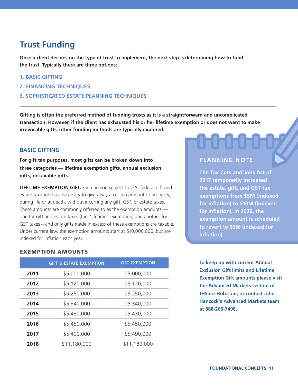### **Trust Funding**

**Once a client decides on the type of trust to implement, the next step is determining how to fund the trust. Typically there are three options:**

- **1. BASIC GIFTING**
- **2. FINANCING TECHNIQUES**
- **3. SOPHISTICATED ESTATE PLANNING TECHNIQUES**

**Gifting is often the preferred method of funding trusts as it is a straightforward and uncomplicated transaction. However, if the client has exhausted his or her lifetime exemption or does not want to make irrevocable gifts, other funding methods are typically explored.**

#### **BASIC GIFTING**

**For gift tax purposes, most gifts can be broken down into three categories — lifetime exemption gifts, annual exclusion gifts, or taxable gifts.** 

**LIFETIME EXEMPTION GIFT:** Each person subject to U.S. federal gift and estate taxation has the ability to give away a certain amount of property, during life or at death, without incurring any gift, GST, or estate taxes. These amounts are commonly referred to as the exemption amounts one for gift and estate taxes (the "lifetime" exemption) and another for GST taxes – and only gifts made in excess of these exemptions are taxable. Under current law, the exemption amounts start at \$10,000,000, but are indexed for inflation each year.

#### EXEMPTION AMOUNTS

|                     | <b>GIFT &amp; ESTATE EXEMPTION</b> | <b>GST EXEMPTION</b> |
|---------------------|------------------------------------|----------------------|
| 2011                | \$5,000,000                        | \$5,000,000          |
| 2012                | \$5,120,000                        | \$5,120,000          |
| \$5,250,000<br>2013 |                                    | \$5,250,000          |
| 2014                | \$5,340,000                        | \$5,340,000          |
| 2015<br>\$5,430,000 |                                    | \$5,430,000          |
| 2016                | \$5,450,000                        | \$5,450,000          |
| 2017                | \$5,490,000                        | \$5,490,000          |
| 2018                | \$11,180,000                       | \$11,180,000         |

#### **PLANNING NOTE**

**The Tax Cuts and Jobs Act of 2017 temporarily increased the estate, gift, and GST tax exemptions from \$5M (indexed for inflation) to \$10M (indexed for inflation). In 2026, the exemption amount is scheduled to revert to \$5M (indexed for inflation).** 

**To keep up with current Annual Exclusion Gift limits and Lifetime Exemption Gift amounts please visit the Advanced Markets section of JHSalesHub.com, or contact John Hancock's Advanced Markets team at 888-266-7498.**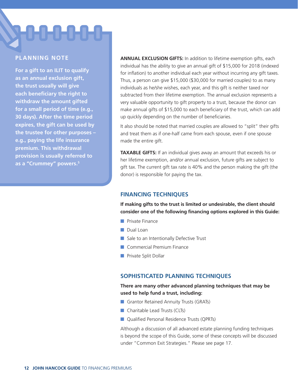## **SHUHUHUHL**

#### **PLANNING NOTE**

**For a gift to an ILIT to qualify as an annual exclusion gift, the trust usually will give each beneficiary the right to withdraw the amount gifted for a small period of time (e.g., 30 days). After the time period expires, the gift can be used by the trustee for other purposes – e.g., paying the life insurance premium. This withdrawal provision is usually referred to as a "Crummey" powers.5**

**ANNUAL EXCLUSION GIFTS:** In addition to lifetime exemption gifts, each individual has the ability to give an annual gift of \$15,000 for 2018 (indexed for inflation) to another individual each year without incurring any gift taxes. Thus, a person can give \$15,000 (\$30,000 for married couples) to as many individuals as he/she wishes, each year, and this gift is neither taxed nor subtracted from their lifetime exemption. The annual exclusion represents a very valuable opportunity to gift property to a trust, because the donor can make annual gifts of \$15,000 to each beneficiary of the trust, which can add up quickly depending on the number of beneficiaries.

It also should be noted that married couples are allowed to "split" their gifts and treat them as if one-half came from each spouse, even if one spouse made the entire gift.

**TAXABLE GIFTS:** If an individual gives away an amount that exceeds his or her lifetime exemption, and/or annual exclusion, future gifts are subject to gift tax. The current gift tax rate is 40% and the person making the gift (the donor) is responsible for paying the tax.

#### **FINANCING TECHNIQUES**

**If making gifts to the trust is limited or undesirable, the client should consider one of the following financing options explored in this Guide:** 

- Private Finance
- Dual Loan
- Sale to an Intentionally Defective Trust
- Commercial Premium Finance
- Private Split Dollar

#### **SOPHISTICATED PLANNING TECHNIQUES**

#### **There are many other advanced planning techniques that may be used to help fund a trust, including:**

- Grantor Retained Annuity Trusts (GRATs)
- Charitable Lead Trusts (CLTs)
- Qualified Personal Residence Trusts (QPRTs)

Although a discussion of all advanced estate planning funding techniques is beyond the scope of this Guide, some of these concepts will be discussed under "Common Exit Strategies." Please see page 17.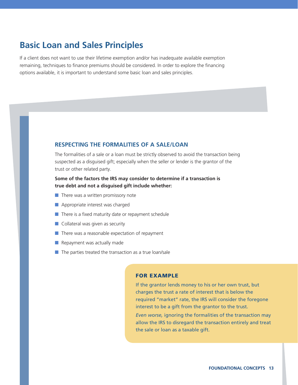#### **Basic Loan and Sales Principles**

If a client does not want to use their lifetime exemption and/or has inadequate available exemption remaining, techniques to finance premiums should be considered. In order to explore the financing options available, it is important to understand some basic loan and sales principles.

#### **RESPECTING THE FORMALITIES OF A SALE/LOAN**

The formalities of a sale or a loan must be strictly observed to avoid the transaction being suspected as a disguised gift; especially when the seller or lender is the grantor of the trust or other related party.

#### **Some of the factors the IRS may consider to determine if a transaction is true debt and not a disguised gift include whether:**

- There was a written promissory note
- Appropriate interest was charged
- There is a fixed maturity date or repayment schedule
- Collateral was given as security
- There was a reasonable expectation of repayment
- Repayment was actually made
- The parties treated the transaction as a true loan/sale

#### FOR EXAMPLE

If the grantor lends money to his or her own trust, but charges the trust a rate of interest that is below the required "market" rate, the IRS will consider the foregone interest to be a gift from the grantor to the trust.

*Even worse,* ignoring the formalities of the transaction may allow the IRS to disregard the transaction entirely and treat the sale or loan as a taxable gift.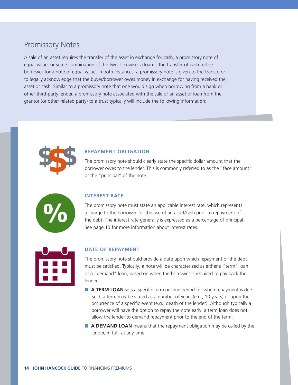#### Promissory Notes

A sale of an asset requires the transfer of the asset in exchange for cash, a promissory note of equal value, or some combination of the two. Likewise, a loan is the transfer of cash to the borrower for a note of equal value. In both instances, a promissory note is given to the transferor to legally acknowledge that the buyer/borrower owes money in exchange for having received the asset or cash. Similar to a promissory note that one would sign when borrowing from a bank or other third-party lender, a promissory note associated with the sale of an asset or loan from the grantor (or other related party) to a trust typically will include the following information:



#### **REPAYMENT OBLIGATION**

The promissory note should clearly state the specific dollar amount that the borrower owes to the lender. This is commonly referred to as the "face amount" or the "principal" of the note.



#### **INTEREST RATE**

The promissory note must state an applicable interest rate, which represents a charge to the borrower for the use of an asset/cash prior to repayment of the debt. The interest rate generally is expressed as a percentage of principal. See page 15 for more information about interest rates.



#### **DATE OF REPAYMENT**

The promissory note should provide a date upon which repayment of the debt must be satisfied. Typically, a note will be characterized as either a "term" loan or a "demand" loan, based on when the borrower is required to pay back the lender.

- **A TERM LOAN** sets a specific term or time period for when repayment is due. Such a term may be stated as a number of years (e.g., 10 years) or upon the occurrence of a specific event (e.g., death of the lender). Although typically a borrower will have the option to repay the note early, a term loan does not allow the lender to demand repayment prior to the end of the term.
- **A DEMAND LOAN** means that the repayment obligation may be called by the lender, in full, at any time.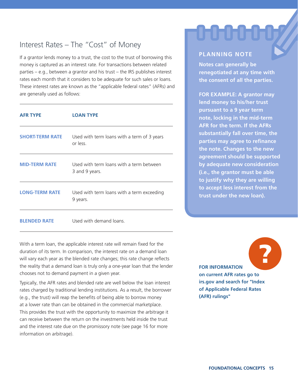#### Interest Rates – The "Cost" of Money

If a grantor lends money to a trust, the cost to the trust of borrowing this money is captured as an interest rate. For transactions between related parties – e.g., between a grantor and his trust – the IRS publishes interest rates each month that it considers to be adequate for such sales or loans. These interest rates are known as the "applicable federal rates" (AFRs) and are generally used as follows:

| <b>AFR TYPE</b>        | <b>LOAN TYPE</b>                                           |
|------------------------|------------------------------------------------------------|
| <b>SHORT-TERM RATE</b> | Used with term loans with a term of 3 years<br>or less.    |
| <b>MID-TERM RATE</b>   | Used with term loans with a term between<br>3 and 9 years. |
| <b>LONG-TERM RATE</b>  | Used with term loans with a term exceeding<br>9 years.     |
| <b>BLENDED RATE</b>    | Used with demand loans.                                    |

With a term loan, the applicable interest rate will remain fixed for the duration of its term. In comparison, the interest rate on a demand loan will vary each year as the blended rate changes; this rate change reflects the reality that a demand loan is truly only a one-year loan that the lender chooses not to demand payment in a given year.

Typically, the AFR rates and blended rate are well below the loan interest rates charged by traditional lending institutions. As a result, the borrower (e.g., the trust) will reap the benefits of being able to borrow money at a lower rate than can be obtained in the commercial marketplace. This provides the trust with the opportunity to maximize the arbitrage it can receive between the return on the investments held inside the trust and the interest rate due on the promissory note (see page 16 for more information on arbitrage).

#### **FOR INFORMATION on current AFR rates go to irs.gov and search for "Index of Applicable Federal Rates (AFR) rulings"** ?

## **PLANNING NOTE**

տտան

**Notes can generally be renegotiated at any time with the consent of all the parties.**

**FOR EXAMPLE: A grantor may lend money to his/her trust pursuant to a 9 year term note, locking in the mid-term AFR for the term. If the AFRs substantially fall over time, the parties may agree to refinance the note. Changes to the new agreement should be supported by adequate new consideration (i.e., the grantor must be able to justify why they are willing to accept less interest from the trust under the new loan).**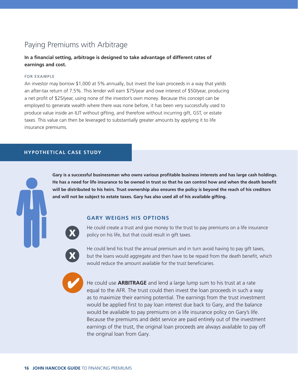#### Paying Premiums with Arbitrage

#### **In a financial setting, arbitrage is designed to take advantage of different rates of earnings and cost.**

#### **FOR EXAMPLE**

An investor may borrow \$1,000 at 5% annually, but invest the loan proceeds in a way that yields an after-tax return of 7.5%. This lender will earn \$75/year and owe interest of \$50/year, producing a net profit of \$25/year, using none of the investor's own money. Because this concept can be employed to generate wealth where there was none before, it has been very successfully used to produce value inside an ILIT without gifting, and therefore without incurring gift, GST, or estate taxes. This value can then be leveraged to substantially greater amounts by applying it to life insurance premiums.

#### **HYPOTHETICAL CASE STUDY**

**Gary is a successful businessman who owns various profitable business interests and has large cash holdings. He has a need for life insurance to be owned in trust so that he can control how and when the death benefit will be distributed to his heirs. Trust ownership also ensures the policy is beyond the reach of his creditors and will not be subject to estate taxes. Gary has also used all of his available gifting.** 

#### **GARY WEIGHS HIS OPTIONS**



He could create a trust and give money to the trust to pay premiums on a life insurance policy on his life, but that could result in gift taxes.



He could lend his trust the annual premium and in turn avoid having to pay gift taxes, but the loans would aggregate and then have to be repaid from the death benefit, which would reduce the amount available for the trust beneficiaries.



He could use **ARBITRAGE** and lend a large lump sum to his trust at a rate equal to the AFR. The trust could then invest the loan proceeds in such a way as to maximize their earning potential. The earnings from the trust investment would be applied first to pay loan interest due back to Gary, and the balance would be available to pay premiums on a life insurance policy on Gary's life. Because the premiums and debt service are paid entirely out of the investment earnings of the trust, the original loan proceeds are always available to pay off the original loan from Gary.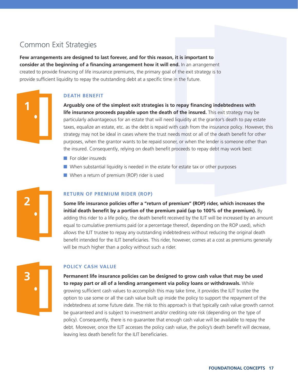#### Common Exit Strategies

**Few arrangements are designed to last forever, and for this reason, it is important to consider at the beginning of a financing arrangement how it will end.** In an arrangement created to provide financing of life insurance premiums, the primary goal of the exit strategy is to provide sufficient liquidity to repay the outstanding debt at a specific time in the future.

#### **DEATH BENEFIT**

**Arguably one of the simplest exit strategies is to repay financing indebtedness with life insurance proceeds payable upon the death of the insured.** This exit strategy may be particularly advantageous for an estate that will need liquidity at the grantor's death to pay estate taxes, equalize an estate, etc. as the debt is repaid with cash from the insurance policy. However, this strategy may not be ideal in cases where the trust needs most or all of the death benefit for other purposes, when the grantor wants to be repaid sooner, or when the lender is someone other than the insured. Consequently, relying on death benefit proceeds to repay debt may work best:

- For older insureds
- When substantial liquidity is needed in the estate for estate tax or other purposes
- When a return of premium (ROP) rider is used



**1**

#### **RETURN OF PREMIUM RIDER (ROP)**

**Some life insurance policies offer a "return of premium" (ROP) rider, which increases the initial death benefit by a portion of the premium paid (up to 100% of the premium).** By adding this rider to a life policy, the death benefit received by the ILIT will be increased by an amount equal to cumulative premiums paid (or a percentage thereof, depending on the ROP used), which allows the ILIT trustee to repay any outstanding indebtedness without reducing the original death benefit intended for the ILIT beneficiaries. This rider, however, comes at a cost as premiums generally will be much higher than a policy without such a rider.

# **3**

#### **POLICY CASH VALUE**

**Permanent life insurance policies can be designed to grow cash value that may be used to repay part or all of a lending arrangement via policy loans or withdrawals.** While growing sufficient cash values to accomplish this may take time, it provides the ILIT trustee the option to use some or all the cash value built up inside the policy to support the repayment of the indebtedness at some future date. The risk to this approach is that typically cash value growth cannot be guaranteed and is subject to investment and/or crediting rate risk (depending on the type of policy). Consequently, there is no guarantee that enough cash value will be available to repay the debt. Moreover, once the ILIT accesses the policy cash value, the policy's death benefit will decrease, leaving less death benefit for the ILIT beneficiaries.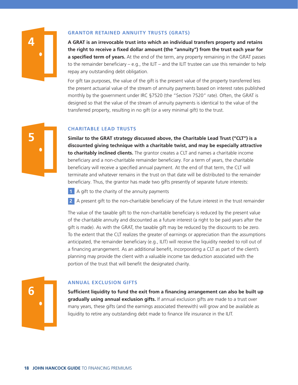

#### **GRANTOR RETAINED ANNUITY TRUSTS (GRATS)**

**A GRAT is an irrevocable trust into which an individual transfers property and retains the right to receive a fixed dollar amount (the "annuity") from the trust each year for a specified term of years.** At the end of the term, any property remaining in the GRAT passes to the remainder beneficiary  $- e.g.,$  the ILIT – and the ILIT trustee can use this remainder to help repay any outstanding debt obligation.

For gift tax purposes, the value of the gift is the present value of the property transferred less the present actuarial value of the stream of annuity payments based on interest rates published monthly by the government under IRC §7520 (the "Section 7520" rate). Often, the GRAT is designed so that the value of the stream of annuity payments is identical to the value of the transferred property, resulting in no gift (or a very minimal gift) to the trust.



#### **CHARITABLE LEAD TRUSTS**

**Similar to the GRAT strategy discussed above, the Charitable Lead Trust ("CLT") is a discounted giving technique with a charitable twist, and may be especially attractive to charitably inclined clients.** The grantor creates a CLT and names a charitable income beneficiary and a non-charitable remainder beneficiary. For a term of years, the charitable beneficiary will receive a specified annual payment. At the end of that term, the CLT will terminate and whatever remains in the trust on that date will be distributed to the remainder beneficiary. Thus, the grantor has made two gifts presently of separate future interests:

- **1** A gift to the charity of the annuity payments
- **2** A present gift to the non-charitable beneficiary of the future interest in the trust remainder

The value of the taxable gift to the non-charitable beneficiary is reduced by the present value of the charitable annuity and discounted as a future interest (a right to be paid years after the gift is made). As with the GRAT, the taxable gift may be reduced by the discounts to be zero. To the extent that the CLT realizes the greater of earnings or appreciation than the assumptions anticipated, the remainder beneficiary (e.g., ILIT) will receive the liquidity needed to roll out of a financing arrangement. As an additional benefit, incorporating a CLT as part of the client's planning may provide the client with a valuable income tax deduction associated with the portion of the trust that will benefit the designated charity.



#### **ANNUAL EXCLUSION GIFTS**

**Sufficient liquidity to fund the exit from a financing arrangement can also be built up gradually using annual exclusion gifts.** If annual exclusion gifts are made to a trust over many years, these gifts (and the earnings associated therewith) will grow and be available as liquidity to retire any outstanding debt made to finance life insurance in the ILIT.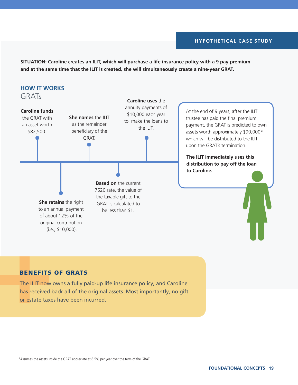#### **HYPOTHETICAL CASE STUDY**

**SITUATION: Caroline creates an ILIT, which will purchase a life insurance policy with a 9 pay premium and at the same time that the ILIT is created, she will simultaneously create a nine-year GRAT.**



#### BENEFITS OF GRATS

The ILIT now owns a fully paid-up life insurance policy, and Caroline has received back all of the original assets. Most importantly, no gift or estate taxes have been incurred.

\*Assumes the assets inside the GRAT appreciate at 6.5% per year over the term of the GRAT.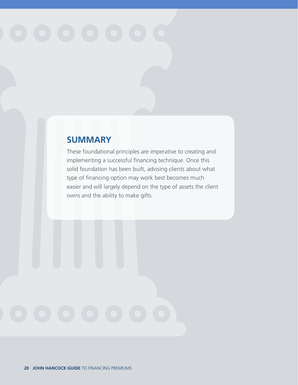### **SUMMARY**

These foundational principles are imperative to creating and implementing a successful financing technique. Once this solid foundation has been built, advising clients about what type of financing option may work best becomes much easier and will largely depend on the type of assets the client owns and the ability to make gifts.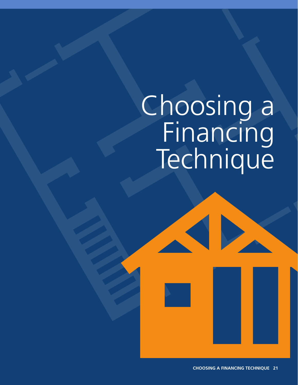## Choosing a Financing Technique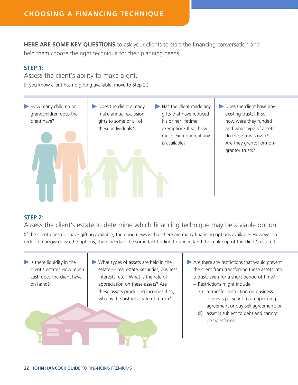**HERE ARE SOME KEY QUESTIONS** to ask your clients to start the financing conversation and help them choose the right technique for their planning needs.

#### **STEP 1:**

Assess the client's ability to make a gift.

(If you know client has no gifting available, move to Step 2.)

How many children or grandchildren does the client have? Does the client already make annual exclusion gifts to some or all of these individuals? Has the client made any gifts that have reduced his or her lifetime exemption? If so, how much exemption, if any, is available? Does the client have any existing trusts? If so, how were they funded and what type of assets do these trusts own? Are they grantor or nongrantor trusts?

#### **STEP 2:**

Assess the client's estate to determine which financing technique may be a viable option.

(If the client does not have gifting available, the good news is that there are many financing options available. However, in order to narrow down the options, there needs to be some fact finding to understand the make up of the client's estate.)

- $\blacktriangleright$  Is there liquidity in the client's estate? How much cash does the client have on hand? What types of assets are held in the estate — real estate, securities, business interests, etc.? What is the rate of appreciation on these assets? Are these assets producing income? If so, what is the historical rate of return?
- Are there any restrictions that would prevent the client from transferring these assets into a trust, even for a short period of time?
	- **–** Restrictions might include:
		- (i) a transfer restriction on business interests pursuant to an operating agreement or buy-sell agreement; or
		- (ii) asset is subject to debt and cannot be transferred.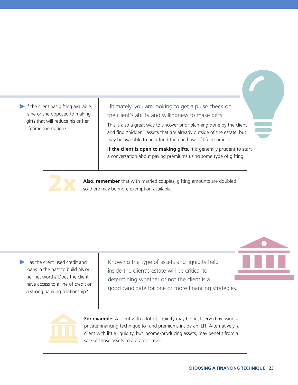If the client has gifting available, is he or she opposed to making gifts that will reduce his or her lifetime exemption?

Ultimately, you are looking to get a pulse check on the client's ability and willingness to make gifts.

This is also a great way to uncover prior planning done by the client and find "hidden" assets that are already outside of the estate, but may be available to help fund the purchase of life insurance.

**If the client is open to making gifts,** it is generally prudent to start a conversation about paying premiums using some type of gifting.



**Also, remember** that with married couples, gifting amounts are doubled so there may be more exemption available.

Has the client used credit and loans in the past to build his or her net worth? Does the client have access to a line of credit or a strong banking relationship?

Knowing the type of assets and liquidity held inside the client's estate will be critical to determining whether or not the client is a good candidate for one or more financing strategies.



**For example:** A client with a lot of liquidity may be best served by using a private financing technique to fund premiums inside an ILIT. Alternatively, a client with little liquidity, but income-producing assets, may benefit from a sale of those assets to a grantor trust.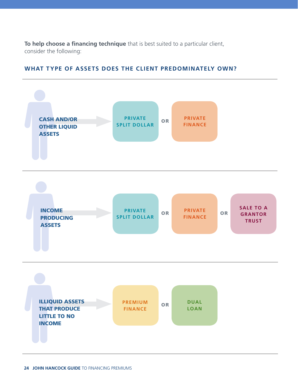**To help choose a financing technique** that is best suited to a particular client, consider the following:



#### **WHAT TYPE OF ASSETS DOES THE CLIENT PREDOMINATELY OWN?**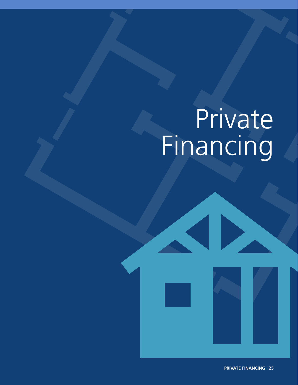## Private Financing

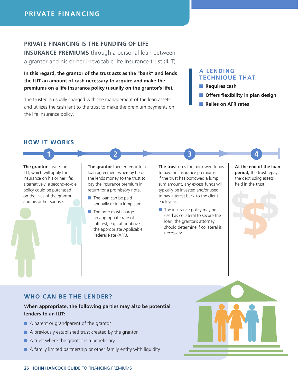#### **PRIVATE FINANCING IS THE FUNDING OF LIFE**

**INSURANCE PREMIUMS** through a personal loan between a grantor and his or her irrevocable life insurance trust (ILIT).

**In this regard, the grantor of the trust acts as the "bank" and lends the ILIT an amount of cash necessary to acquire and make the premiums on a life insurance policy (usually on the grantor's life).** 

The trustee is usually charged with the management of the loan assets and utilizes the cash lent to the trust to make the premium payments on the life insurance policy.

#### **A LENDING TECHNIQUE THAT:**

- **Requires cash**
- **Offers flexibility in plan design**
- **Relies on AFR rates**

#### **HOW IT WORKS**

**The grantor** creates an ILIT, which will apply for insurance on his or her life; alternatively, a second-to-die policy could be purchased on the lives of the grantor and his or her spouse.

**The grantor** then enters into a loan agreement whereby he or she lends money to the trust to pay the insurance premium in return for a promissory note.

**1 2 3 4**

- The loan can be paid annually or in a lump sum.
- The note must charge an appropriate rate of interest, e.g., at or above the appropriate Applicable Federal Rate (AFR).

**The trust** uses the borrowed funds to pay the insurance premiums. If the trust has borrowed a lump sum amount, any excess funds will typically be invested and/or used to pay interest back to the client each year.

 $\blacksquare$  The insurance policy may be used as collateral to secure the loan; the grantor's attorney should determine if collateral is necessary.

**At the end of the loan period,** the trust repays the debt using assets held in the trust.



#### **WHO CAN BE THE LENDER?**

#### **When appropriate, the following parties may also be potential lenders to an ILIT:**

- A parent or grandparent of the grantor
- A previously established trust created by the grantor
- A trust where the grantor is a beneficiary
- A family limited partnership or other family entity with liquidity

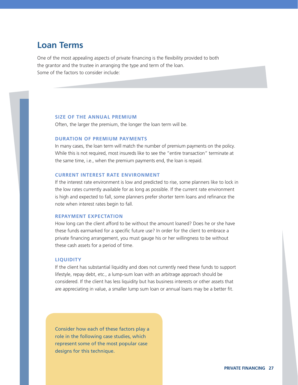#### **Loan Terms**

One of the most appealing aspects of private financing is the flexibility provided to both the grantor and the trustee in arranging the type and term of the loan. Some of the factors to consider include:

#### **SIZE OF THE ANNUAL PREMIUM**

Often, the larger the premium, the longer the loan term will be.

#### **DURATION OF PREMIUM PAYMENTS**

In many cases, the loan term will match the number of premium payments on the policy. While this is not required, most insureds like to see the "entire transaction" terminate at the same time, i.e., when the premium payments end, the loan is repaid.

#### **CURRENT INTEREST RATE ENVIRONMENT**

If the interest rate environment is low and predicted to rise, some planners like to lock in the low rates currently available for as long as possible. If the current rate environment is high and expected to fall, some planners prefer shorter term loans and refinance the note when interest rates begin to fall.

#### **REPAYMENT EXPECTATION**

How long can the client afford to be without the amount loaned? Does he or she have these funds earmarked for a specific future use? In order for the client to embrace a private financing arrangement, you must gauge his or her willingness to be without these cash assets for a period of time.

#### **LIQUIDITY**

If the client has substantial liquidity and does not currently need these funds to support lifestyle, repay debt, etc., a lump-sum loan with an arbitrage approach should be considered. If the client has less liquidity but has business interests or other assets that are appreciating in value, a smaller lump sum loan or annual loans may be a better fit.

Consider how each of these factors play a role in the following case studies, which represent some of the most popular case designs for this technique.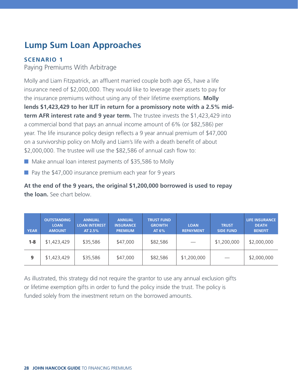### **Lump Sum Loan Approaches**

#### **SCENARIO 1**

Paying Premiums With Arbitrage

Molly and Liam Fitzpatrick, an affluent married couple both age 65, have a life insurance need of \$2,000,000. They would like to leverage their assets to pay for the insurance premiums without using any of their lifetime exemptions. **Molly lends \$1,423,429 to her ILIT in return for a promissory note with a 2.5% midterm AFR interest rate and 9 year term.** The trustee invests the \$1,423,429 into a commercial bond that pays an annual income amount of 6% (or \$82,586) per year. The life insurance policy design reflects a 9 year annual premium of \$47,000 on a survivorship policy on Molly and Liam's life with a death benefit of about \$2,000,000. The trustee will use the \$82,586 of annual cash flow to:

- Make annual loan interest payments of \$35,586 to Molly
- Pay the \$47,000 insurance premium each year for 9 years

**At the end of the 9 years, the original \$1,200,000 borrowed is used to repay the loan.** See chart below.

| <b>YEAR</b> | <b>OUTSTANDING</b><br><b>LOAN</b><br><b>AMOUNT</b> | <b>ANNUAL</b><br><b>LOAN INTEREST</b><br>AT 2.5% | <b>ANNUAL</b><br><b>INSURANCE</b><br><b>PREMIUM</b> | <b>TRUST FUND</b><br><b>GROWTH</b><br>AT 6% | <b>LOAN</b><br><b>REPAYMENT</b> | <b>TRUST</b><br><b>SIDE FUND</b> | <b>LIFE INSURANCE</b><br><b>DEATH</b><br><b>BENEFIT</b> |
|-------------|----------------------------------------------------|--------------------------------------------------|-----------------------------------------------------|---------------------------------------------|---------------------------------|----------------------------------|---------------------------------------------------------|
| $1 - 8$     | \$1,423,429                                        | \$35,586                                         | \$47,000                                            | \$82,586                                    |                                 | \$1,200,000                      | \$2,000,000                                             |
| 9           | \$1,423,429                                        | \$35,586                                         | \$47,000                                            | \$82,586                                    | \$1,200,000                     | $\overline{\phantom{m}}$         | \$2,000,000                                             |

As illustrated, this strategy did not require the grantor to use any annual exclusion gifts or lifetime exemption gifts in order to fund the policy inside the trust. The policy is funded solely from the investment return on the borrowed amounts.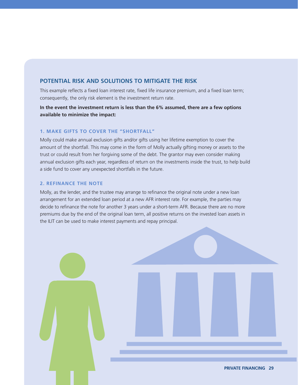#### **POTENTIAL RISK AND SOLUTIONS TO MITIGATE THE RISK**

This example reflects a fixed loan interest rate, fixed life insurance premium, and a fixed loan term; consequently, the only risk element is the investment return rate.

**In the event the investment return is less than the 6% assumed, there are a few options available to minimize the impact:**

#### **1. MAKE GIFTS TO COVER THE "SHORTFALL"**

Molly could make annual exclusion gifts and/or gifts using her lifetime exemption to cover the amount of the shortfall. This may come in the form of Molly actually gifting money or assets to the trust or could result from her forgiving some of the debt. The grantor may even consider making annual exclusion gifts each year, regardless of return on the investments inside the trust, to help build a side fund to cover any unexpected shortfalls in the future.

#### **2. REFINANCE THE NOTE**

Molly, as the lender, and the trustee may arrange to refinance the original note under a new loan arrangement for an extended loan period at a new AFR interest rate. For example, the parties may decide to refinance the note for another 3 years under a short-term AFR. Because there are no more premiums due by the end of the original loan term, all positive returns on the invested loan assets in the ILIT can be used to make interest payments and repay principal.

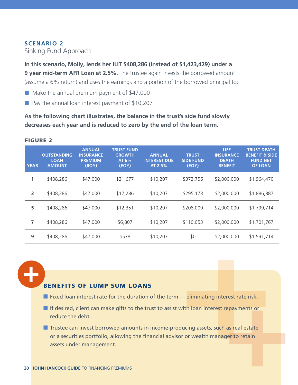#### **SCENARIO 2** Sinking Fund Approach

**In this scenario, Molly, lends her ILIT \$408,286 (instead of \$1,423,429) under a 9 year mid-term AFR Loan at 2.5%.** The trustee again invests the borrowed amount (assume a 6% return) and uses the earnings and a portion of the borrowed principal to:

■ Make the annual premium payment of \$47,000

■ Pay the annual loan interest payment of \$10,207

**As the following chart illustrates, the balance in the trust's side fund slowly decreases each year and is reduced to zero by the end of the loan term.**

| <b>YEAR</b> | <b>OUTSTANDING</b><br><b>LOAN</b><br><b>AMOUNT</b> | <b>ANNUAL</b><br><b>INSURANCE</b><br><b>PREMIUM</b><br>(BOY) | <b>TRUST FUND</b><br><b>GROWTH</b><br>AT 6%<br>(EOY) | <b>ANNUAL</b><br><b>INTEREST DUE</b><br>AT 2.5% | <b>TRUST</b><br><b>SIDE FUND</b><br>(EOY) | LIFE.<br><b>INSURANCE</b><br><b>DEATH</b><br><b>BENEFIT</b> | <b>TRUST DEATH</b><br><b>BENEFIT &amp; SIDE</b><br><b>FUND NET</b><br><b>OF LOAN</b> |
|-------------|----------------------------------------------------|--------------------------------------------------------------|------------------------------------------------------|-------------------------------------------------|-------------------------------------------|-------------------------------------------------------------|--------------------------------------------------------------------------------------|
| 1           | \$408,286                                          | \$47,000                                                     | \$21,677                                             | \$10,207                                        | \$372,756                                 | \$2,000,000                                                 | \$1,964,470                                                                          |
| 3           | \$408,286                                          | \$47,000                                                     | \$17,286                                             | \$10,207                                        | \$295,173                                 | \$2,000,000                                                 | \$1,886,887                                                                          |
| 5           | \$408,286                                          | \$47,000                                                     | \$12,351                                             | \$10,207                                        | \$208,000                                 | \$2,000,000                                                 | \$1,799,714                                                                          |
| 7           | \$408,286                                          | \$47,000                                                     | \$6,807                                              | \$10,207                                        | \$110,053                                 | \$2,000,000                                                 | \$1,701,767                                                                          |
| 9           | \$408,286                                          | \$47,000                                                     | \$578                                                | \$10,207                                        | \$0                                       | \$2,000,000                                                 | \$1,591,714                                                                          |

#### FIGURE 2

#### BENEFITS OF LUMP SUM LOANS

- $\blacksquare$  Fixed loan interest rate for the duration of the term  $-$  eliminating interest rate risk.
- If desired, client can make gifts to the trust to assist with loan interest repayments or reduce the debt.

■ Trustee can invest borrowed amounts in income-producing assets, such as real estate or a securities portfolio, allowing the financial advisor or wealth manager to retain assets under management.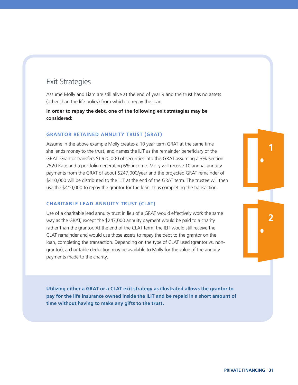#### Exit Strategies

Assume Molly and Liam are still alive at the end of year 9 and the trust has no assets (other than the life policy) from which to repay the loan.

**In order to repay the debt, one of the following exit strategies may be considered:**

#### **GRANTOR RETAINED ANNUITY TRUST (GRAT)**

Assume in the above example Molly creates a 10 year term GRAT at the same time she lends money to the trust, and names the ILIT as the remainder beneficiary of the GRAT. Grantor transfers \$1,920,000 of securities into this GRAT assuming a 3% Section 7520 Rate and a portfolio generating 6% income. Molly will receive 10 annual annuity payments from the GRAT of about \$247,000/year and the projected GRAT remainder of \$410,000 will be distributed to the ILIT at the end of the GRAT term. The trustee will then use the \$410,000 to repay the grantor for the loan, thus completing the transaction.

#### **CHARITABLE LEAD ANNUITY TRUST (CLAT)**

Use of a charitable lead annuity trust in lieu of a GRAT would effectively work the same way as the GRAT, except the \$247,000 annuity payment would be paid to a charity rather than the grantor. At the end of the CLAT term, the ILIT would still receive the CLAT remainder and would use those assets to repay the debt to the grantor on the loan, completing the transaction. Depending on the type of CLAT used (grantor vs. nongrantor), a charitable deduction may be available to Molly for the value of the annuity payments made to the charity.

**Utilizing either a GRAT or a CLAT exit strategy as illustrated allows the grantor to pay for the life insurance owned inside the ILIT and be repaid in a short amount of time without having to make any gifts to the trust.** 

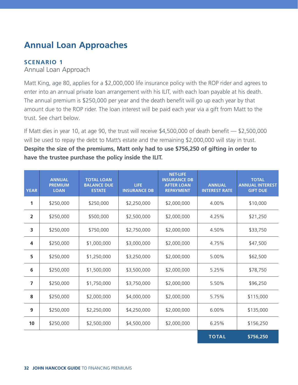### **Annual Loan Approaches**

#### **SCENARIO 1**

#### Annual Loan Approach

Matt King, age 80, applies for a \$2,000,000 life insurance policy with the ROP rider and agrees to enter into an annual private loan arrangement with his ILIT, with each loan payable at his death. The annual premium is \$250,000 per year and the death benefit will go up each year by that amount due to the ROP rider. The loan interest will be paid each year via a gift from Matt to the trust. See chart below.

If Matt dies in year 10, at age 90, the trust will receive \$4,500,000 of death benefit — \$2,500,000 will be used to repay the debt to Matt's estate and the remaining \$2,000,000 will stay in trust. **Despite the size of the premiums, Matt only had to use \$756,250 of gifting in order to have the trustee purchase the policy inside the ILIT.**

| <b>YEAR</b>             | <b>ANNUAL</b><br><b>PREMIUM</b><br><b>LOAN</b> | <b>TOTAL LOAN</b><br><b>BALANCE DUE</b><br><b>ESTATE</b> | <b>LIFE</b><br><b>INSURANCE DB</b> | <b>NET-LIFE</b><br><b>INSURANCE DB</b><br><b>AFTER LOAN</b><br><b>REPAYMENT</b> | <b>ANNUAL</b><br><b>INTEREST RATE</b> | <b>TOTAL</b><br><b>ANNUAL INTEREST</b><br><b>GIFT DUE</b> |
|-------------------------|------------------------------------------------|----------------------------------------------------------|------------------------------------|---------------------------------------------------------------------------------|---------------------------------------|-----------------------------------------------------------|
| 1                       | \$250,000                                      | \$250,000                                                | \$2,250,000                        | \$2,000,000                                                                     | 4.00%                                 | \$10,000                                                  |
| $\overline{2}$          | \$250,000                                      | \$500,000                                                | \$2,500,000                        | \$2,000,000                                                                     | 4.25%                                 | \$21,250                                                  |
| $\overline{\mathbf{3}}$ | \$250,000                                      | \$750,000                                                | \$2,750,000                        | \$2,000,000                                                                     | 4.50%                                 | \$33,750                                                  |
| $\overline{\mathbf{4}}$ | \$250,000                                      | \$1,000,000                                              | \$3,000,000                        | \$2,000,000                                                                     | 4.75%                                 | \$47,500                                                  |
| 5                       | \$250,000                                      | \$1,250,000                                              | \$3,250,000                        | \$2,000,000                                                                     | 5.00%                                 | \$62,500                                                  |
| 6                       | \$250,000                                      | \$1,500,000                                              | \$3,500,000                        | \$2,000,000                                                                     | 5.25%                                 | \$78,750                                                  |
| $\overline{7}$          | \$250,000                                      | \$1,750,000                                              | \$3,750,000                        | \$2,000,000                                                                     | 5.50%                                 | \$96,250                                                  |
| 8                       | \$250,000                                      | \$2,000,000                                              | \$4,000,000                        | \$2,000,000                                                                     | 5.75%                                 | \$115,000                                                 |
| 9                       | \$250,000                                      | \$2,250,000                                              | \$4,250,000                        | \$2,000,000                                                                     | 6.00%                                 | \$135,000                                                 |
| 10                      | \$250,000                                      | \$2,500,000                                              | \$4,500,000                        | \$2,000,000                                                                     | 6.25%                                 | \$156,250                                                 |
|                         |                                                |                                                          |                                    |                                                                                 | <b>TOTAL</b>                          | \$756,250                                                 |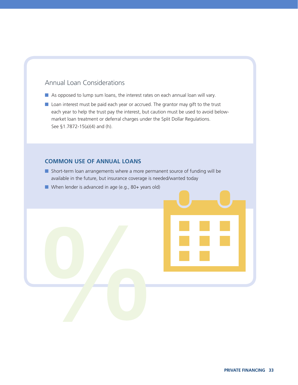#### Annual Loan Considerations

- As opposed to lump sum loans, the interest rates on each annual loan will vary.
- Loan interest must be paid each year or accrued. The grantor may gift to the trust each year to help the trust pay the interest, but caution must be used to avoid belowmarket loan treatment or deferral charges under the Split Dollar Regulations. See §1.7872-15(a)(4) and (h).

#### **COMMON USE OF ANNUAL LOANS**

- Short-term loan arrangements where a more permanent source of funding will be available in the future, but insurance coverage is needed/wanted today
- When lender is advanced in age (e.g., 80+ years old)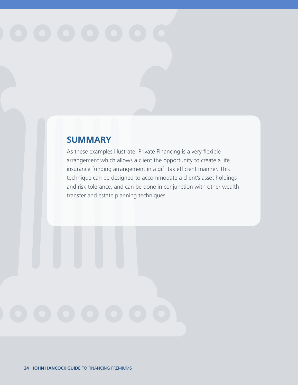### **SUMMARY**

As these examples illustrate, Private Financing is a very flexible arrangement which allows a client the opportunity to create a life insurance funding arrangement in a gift tax efficient manner. This technique can be designed to accommodate a client's asset holdings and risk tolerance, and can be done in conjunction with other wealth transfer and estate planning techniques.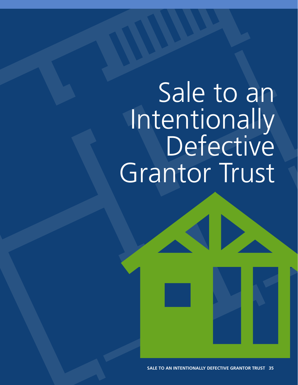## Sale to an Intentionally<br>Defective Grantor Trust

**SALE TO AN INTENTIONALLY DEFECTIVE GRANTOR TRUST 35**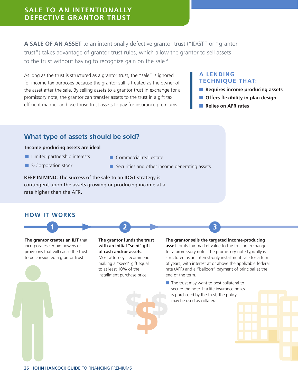#### **SALE TO AN INTENTIONALLY DEFECTIVE GRANTOR TRUST**

**A SALE OF AN ASSET** to an intentionally defective grantor trust ("IDGT" or "grantor trust") takes advantage of grantor trust rules, which allow the grantor to sell assets to the trust without having to recognize gain on the sale.<sup>4</sup>

As long as the trust is structured as a grantor trust, the "sale" is ignored for income tax purposes because the grantor still is treated as the owner of the asset after the sale. By selling assets to a grantor trust in exchange for a promissory note, the grantor can transfer assets to the trust in a gift tax efficient manner and use those trust assets to pay for insurance premiums.

#### **A LENDING TECHNIQUE THAT:**

- **Requires income producing assets**
- **Offers flexibility in plan design**
- **Relies on AFR rates**

#### **What type of assets should be sold?**

#### **Income producing assets are ideal**

- Limited partnership interests
- S-Corporation stock
- Commercial real estate
- Securities and other income generating assets

**KEEP IN MIND:** The success of the sale to an IDGT strategy is contingent upon the assets growing or producing income at a rate higher than the AFR.

#### **HOW IT WORKS**

**The grantor creates an ILIT** that incorporates certain powers or provisions that will cause the trust to be considered a grantor trust.

**The grantor funds the trust with an initial "seed" gift of cash and/or assets.**  Most attorneys recommend making a "seed" gift equal to at least 10% of the installment purchase price.

**1 2 3**

**The grantor sells the targeted income-producing asset** for its fair market value to the trust in exchange for a promissory note. The promissory note typically is structured as an interest-only installment sale for a term of years, with interest at or above the applicable federal rate (AFR) and a "balloon" payment of principal at the end of the term.

■ The trust may want to post collateral to secure the note. If a life insurance policy is purchased by the trust, the policy may be used as collateral.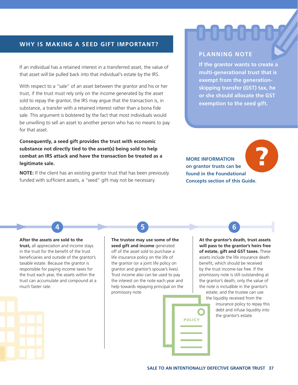#### **WHY IS MAKING A SEED GIFT IMPORTANT?**

If an individual has a retained interest in a transferred asset, the value of that asset will be pulled back into that individual's estate by the IRS.

With respect to a "sale" of an asset between the grantor and his or her trust, if the trust must rely only on the income generated by the asset sold to repay the grantor, the IRS may argue that the transaction is, in substance, a transfer with a retained interest rather than a bona fide sale. This argument is bolstered by the fact that most individuals would be unwilling to sell an asset to another person who has no means to pay for that asset.

**Consequently, a seed gift provides the trust with economic substance not directly tied to the asset(s) being sold to help combat an IRS attack and have the transaction be treated as a legitimate sale.** 

**NOTE:** If the client has an existing grantor trust that has been previously funded with sufficient assets, a "seed" gift may not be necessary.

#### **PLANNING NOTE**

**If the grantor wants to create a multi-generational trust that is exempt from the generationskipping transfer (GST) tax, he or she should allocate the GST exemption to the seed gift.**

**MORE INFORMATION on grantor trusts can be found in the Foundational Concepts section of this Guide.** 

?

**After the assets are sold to the** 

**trust,** all appreciation and income stays in the trust for the benefit of the trust beneficiaries and outside of the grantor's taxable estate. Because the grantor is responsible for paying income taxes for the trust each year, the assets within the trust can accumulate and compound at a much faster rate.

**The trustee may use some of the seed gift and income** generated off of the asset sold to purchase a life insurance policy on the life of the grantor (or a joint life policy on grantor and grantor's spouse's lives). Trust income also can be used to pay the interest on the note each year and help towards repaying principal on the promissory note.

**4 5 6**

**At the grantor's death, trust assets will pass to the grantor's heirs free of estate, gift and GST taxes.** These assets include the life insurance death benefit, which should be received by the trust income-tax free. If the promissory note is still outstanding at the grantor's death, only the value of the note is includible in the grantor's

estate; and the trustee can use the liquidity received from the

insurance policy to repay this debt and infuse liquidity into the grantor's estate.

**POLICY**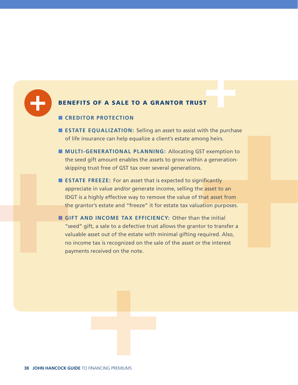

#### BENEFITS OF A SALE TO A GRANTOR TRUST

#### ■ **CREDITOR PROTECTION**

- **ESTATE EQUALIZATION:** Selling an asset to assist with the purchase of life insurance can help equalize a client's estate among heirs.
- **MULTI-GENERATIONAL PLANNING:** Allocating GST exemption to the seed gift amount enables the assets to grow within a generationskipping trust free of GST tax over several generations.
- **ESTATE FREEZE:** For an asset that is expected to significantly appreciate in value and/or generate income, selling the asset to an IDGT is a highly effective way to remove the value of that asset from the grantor's estate and "freeze" it for estate tax valuation purposes.
- **GIFT AND INCOME TAX EFFICIENCY:** Other than the initial "seed" gift, a sale to a defective trust allows the grantor to transfer a valuable asset out of the estate with minimal gifting required. Also, no income tax is recognized on the sale of the asset or the interest payments received on the note.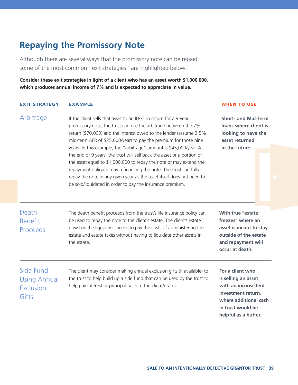### **Repaying the Promissory Note**

Although there are several ways that the promissory note can be repaid, some of the most common "exit strategies" are highlighted below.

**Consider these exit strategies in light of a client who has an asset worth \$1,000,000, which produces annual income of 7% and is expected to appreciate in value.**

| <b>EXIT STRATEGY</b>                                                                                                                                                                                                                                                              | <b>EXAMPLE</b>                                                                                                                                                                                                                                                                                                                                                                                                                                                                                                                                                                                                                                                                                                  | <b>WHEN TO USE</b>                                                                                                                                          |  |  |
|-----------------------------------------------------------------------------------------------------------------------------------------------------------------------------------------------------------------------------------------------------------------------------------|-----------------------------------------------------------------------------------------------------------------------------------------------------------------------------------------------------------------------------------------------------------------------------------------------------------------------------------------------------------------------------------------------------------------------------------------------------------------------------------------------------------------------------------------------------------------------------------------------------------------------------------------------------------------------------------------------------------------|-------------------------------------------------------------------------------------------------------------------------------------------------------------|--|--|
| Arbitrage                                                                                                                                                                                                                                                                         | If the client sells that asset to an IDGT in return for a 9-year<br>promissory note, the trust can use the arbitrage between the 7%<br>return (\$70,000) and the interest owed to the lender (assume 2.5%<br>mid-term AFR of \$25,000/year) to pay the premium for those nine<br>years. In this example, the "arbitrage" amount is \$45,000/year. At<br>the end of 9 years, the trust will sell back the asset or a portion of<br>the asset equal to \$1,000,000 to repay the note or may extend the<br>repayment obligation by refinancing the note. The trust can fully<br>repay the note in any given year as the asset itself does not need to<br>be sold/liquidated in order to pay the insurance premium. | <b>Short- and Mid-Term</b><br>loans where client is<br>looking to have the<br>asset returned<br>in the future.                                              |  |  |
| Death<br><b>Benefit</b><br><b>Proceeds</b>                                                                                                                                                                                                                                        | The death benefit proceeds from the trust's life insurance policy can<br>be used to repay the note to the client's estate. The client's estate<br>now has the liquidity it needs to pay the costs of administering the<br>estate and estate taxes without having to liquidate other assets in<br>the estate.                                                                                                                                                                                                                                                                                                                                                                                                    | With true "estate<br>freezes" where an<br>asset is meant to stay<br>outside of the estate<br>and repayment will<br>occur at death.                          |  |  |
| Side Fund<br>The client may consider making annual exclusion gifts (if available) to<br>the trust to help build up a side fund that can be used by the trust to<br><b>Using Annual</b><br>help pay interest or principal back to the client/grantor.<br><b>Exclusion</b><br>Gifts |                                                                                                                                                                                                                                                                                                                                                                                                                                                                                                                                                                                                                                                                                                                 | For a client who<br>is selling an asset<br>with an inconsistent<br>investment return,<br>where additional cash<br>in trust would be<br>helpful as a buffer. |  |  |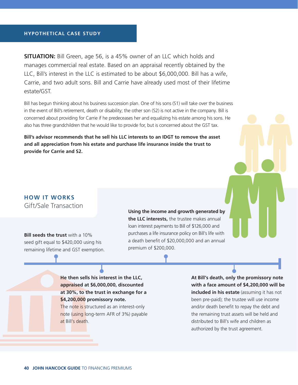#### **HYPOTHETICAL CASE STUDY**

**SITUATION:** Bill Green, age 56, is a 45% owner of an LLC which holds and manages commercial real estate. Based on an appraisal recently obtained by the LLC, Bill's interest in the LLC is estimated to be about \$6,000,000. Bill has a wife, Carrie, and two adult sons. Bill and Carrie have already used most of their lifetime estate/GST.

Bill has begun thinking about his business succession plan. One of his sons (S1) will take over the business in the event of Bill's retirement, death or disability; the other son (S2) is not active in the company. Bill is concerned about providing for Carrie if he predeceases her and equalizing his estate among his sons. He also has three grandchildren that he would like to provide for, but is concerned about the GST tax.

**Bill's advisor recommends that he sell his LLC interests to an IDGT to remove the asset and all appreciation from his estate and purchase life insurance inside the trust to provide for Carrie and S2.**

#### **HOW IT WORKS** Gift/Sale Transaction

**Bill seeds the trust** with a 10% seed gift equal to \$420,000 using his remaining lifetime and GST exemption. **Using the income and growth generated by the LLC interests,** the trustee makes annual loan interest payments to Bill of \$126,000 and purchases a life insurance policy on Bill's life with a death benefit of \$20,000,000 and an annual premium of \$200,000.

**He then sells his interest in the LLC, appraised at \$6,000,000, discounted at 30%, to the trust in exchange for a \$4,200,000 promissory note.**  The note is structured as an interest-only note (using long-term AFR of 3%) payable **At Bill's death, only the promissory note with a face amount of \$4,200,000 will be included in his estate** (assuming it has not been pre-paid); the trustee will use income and/or death benefit to repay the debt and the remaining trust assets will be held and distributed to Bill's wife and children as authorized by the trust agreement.

at Bill's death.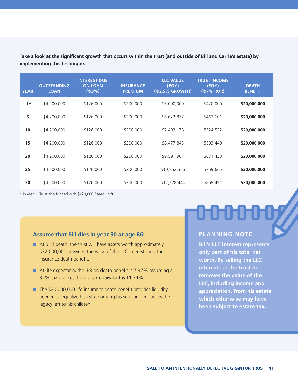**Take a look at the significant growth that occurs within the trust (and outside of Bill and Carrie's estate) by implementing this technique:**

| <b>YEAR</b> | <b>OUTSTANDING</b><br><b>LOAN</b> | <b>INTEREST DUE</b><br><b>ON LOAN</b><br>(@3%) | <b>INSURANCE</b><br><b>PREMIUM</b> | <b>LLC VALUE</b><br>(EOY)<br>(@2.5% GROWTH) | <b>TRUST INCOME</b><br>(EOY)<br>$(@7%$ ROR) | <b>DEATH</b><br><b>BENEFIT</b> |
|-------------|-----------------------------------|------------------------------------------------|------------------------------------|---------------------------------------------|---------------------------------------------|--------------------------------|
| $1*$        | \$4,200,000                       | \$126,000                                      | \$200,000                          | \$6,000,000                                 | \$420,000                                   | \$20,000,000                   |
| 5           | \$4,200,000                       | \$126,000                                      | \$200,000                          | \$6,622,877                                 | \$463,601                                   | \$20,000,000                   |
| 10          | \$4,200,000                       | \$126,000                                      | \$200,000                          | \$7,493,178                                 | \$524,522                                   | \$20,000,000                   |
| 15          | \$4,200,000                       | \$126,000                                      | \$200,000                          | \$8,477,843                                 | \$593,449                                   | \$20,000,000                   |
| 20          | \$4,200,000                       | \$126,000                                      | \$200,000                          | \$9,591,901                                 | \$671,433                                   | \$20,000,000                   |
| 25          | \$4,200,000                       | \$126,000                                      | \$200,000                          | \$10,852,356                                | \$759,665                                   | \$20,000,000                   |
| 30          | \$4,200,000                       | \$126,000                                      | \$200,000                          | \$12,278,444                                | \$859,491                                   | \$20,000,000                   |

\* In year 1, Trust also funded with \$420,000 "seed" gift.

#### **Assume that Bill dies in year 30 at age 86:**

- At Bill's death, the trust will have assets worth approximately \$32,000,000 between the value of the LLC interests and the insurance death benefit.
- At life expectancy the IRR on death benefit is 7.37% assuming a 35% tax bracket the pre tax equivalent is 11.34%.
- The \$20,000,000 life insurance death benefit provides liquidity needed to equalize his estate among his sons and enhances the legacy left to his children.

## 0000007

#### **PLANNING NOTE**

**Bill's LLC interest represents only part of his total net worth. By selling the LLC interests to the trust he removes the value of the LLC, including income and appreciation, from his estate which otherwise may have been subject to estate tax.**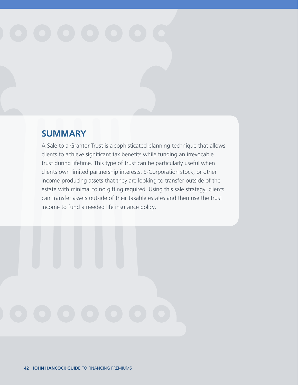### **SUMMARY**

A Sale to a Grantor Trust is a sophisticated planning technique that allows clients to achieve significant tax benefits while funding an irrevocable trust during lifetime. This type of trust can be particularly useful when clients own limited partnership interests, S-Corporation stock, or other income-producing assets that they are looking to transfer outside of the estate with minimal to no gifting required. Using this sale strategy, clients can transfer assets outside of their taxable estates and then use the trust income to fund a needed life insurance policy.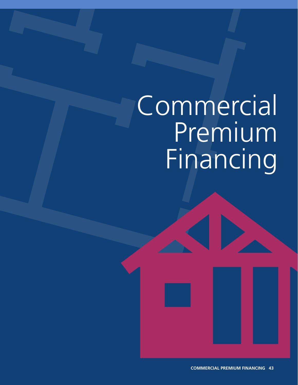## **Commercial** Premium Financing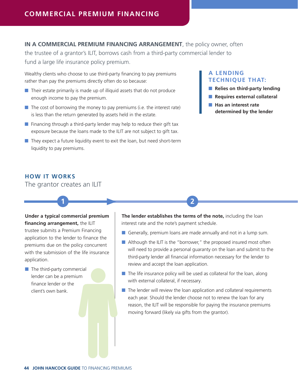#### **IN A COMMERCIAL PREMIUM FINANCING ARRANGEMENT**, the policy owner, often

the trustee of a grantor's ILIT, borrows cash from a third-party commercial lender to fund a large life insurance policy premium.

**1 2**

Wealthy clients who choose to use third-party financing to pay premiums rather than pay the premiums directly often do so because:

- Their estate primarily is made up of illiquid assets that do not produce enough income to pay the premium.
- $\blacksquare$  The cost of borrowing the money to pay premiums (i.e. the interest rate) is less than the return generated by assets held in the estate.
- $\blacksquare$  Financing through a third-party lender may help to reduce their gift tax exposure because the loans made to the ILIT are not subject to gift tax.
- $\blacksquare$  They expect a future liquidity event to exit the loan, but need short-term liquidity to pay premiums.

#### **A LENDING TECHNIQUE THAT:**

- **Relies on third-party lending**
- **Requires external collateral**
- Has an interest rate **determined by the lender**

#### **HOW IT WORKS**

The grantor creates an ILIT

#### **Under a typical commercial premium**

**financing arrangement,** the ILIT trustee submits a Premium Financing application to the lender to finance the premiums due on the policy concurrent with the submission of the life insurance application.

■ The third-party commercial lender can be a premium finance lender or the client's own bank.

**The lender establishes the terms of the note,** including the loan interest rate and the note's payment schedule.

- Generally, premium loans are made annually and not in a lump sum.
- Although the ILIT is the "borrower," the proposed insured most often will need to provide a personal guaranty on the loan and submit to the third-party lender all financial information necessary for the lender to review and accept the loan application.
- $\blacksquare$  The life insurance policy will be used as collateral for the loan, along with external collateral, if necessary.
- The lender will review the loan application and collateral requirements each year. Should the lender choose not to renew the loan for any reason, the ILIT will be responsible for paying the insurance premiums moving forward (likely via gifts from the grantor).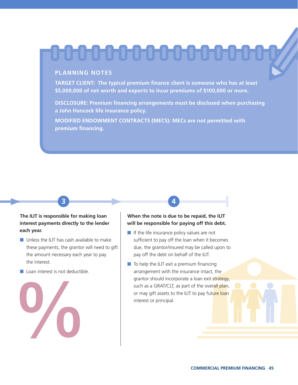## 

#### **PLANNING NOTES**

**TARGET CLIENT: The typical premium finance client is someone who has at least \$5,000,000 of net worth and expects to incur premiums of \$100,000 or more.**

**DISCLOSURE: Premium financing arrangements must be disclosed when purchasing a John Hancock life insurance policy.**

**MODIFIED ENDOWMENT CONTRACTS (MECS): MECs are not permitted with premium financing.**

**3 4**

#### **The ILIT is responsible for making loan interest payments directly to the lender each year.**

- Unless the ILIT has cash available to make these payments, the grantor will need to gift the amount necessary each year to pay the interest.
- Loan interest is not deductible.



#### **When the note is due to be repaid, the ILIT will be responsible for paying off this debt.**

- If the life insurance policy values are not sufficient to pay off the loan when it becomes due, the grantor/insured may be called upon to pay off the debt on behalf of the ILIT.
- $\blacksquare$  To help the ILIT exit a premium financing arrangement with the insurance intact, the grantor should incorporate a loan exit strategy, such as a GRAT/CLT, as part of the overall plan, or may gift assets to the ILIT to pay future loan interest or principal.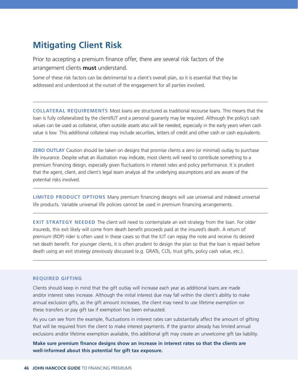#### **Mitigating Client Risk**

Prior to accepting a premium finance offer, there are several risk factors of the arrangement clients **must** understand.

Some of these risk factors can be detrimental to a client's overall plan, so it is essential that they be addressed and understood at the outset of the engagement for all parties involved.

**COLLATERAL REQUIREMENTS** Most loans are structured as traditional recourse loans. This means that the loan is fully collateralized by the client/ILIT and a personal guaranty may be required. Although the policy's cash values can be used as collateral, often outside assets also will be needed, especially in the early years when cash value is low. This additional collateral may include securities, letters of credit and other cash or cash equivalents.

**ZERO OUTLAY** Caution should be taken on designs that promise clients a zero (or minimal) outlay to purchase life insurance. Despite what an illustration may indicate, most clients will need to contribute something to a premium financing design, especially given fluctuations in interest rates and policy performance. It is prudent that the agent, client, and client's legal team analyze all the underlying assumptions and are aware of the potential risks involved.

**LIMITED PRODUCT OPTIONS** Many premium financing designs will use universal and indexed universal life products. Variable universal life policies cannot be used in premium financing arrangements.

**EXIT STRATEGY NEEDED** The client will need to contemplate an exit strategy from the loan. For older insureds, this exit likely will come from death benefit proceeds paid at the insured's death. A return of premium (ROP) rider is often used in these cases so that the ILIT can repay the note and receive its desired net death benefit. For younger clients, it is often prudent to design the plan so that the loan is repaid before death using an exit strategy previously discussed (e.g. GRATs, CLTs, trust gifts, policy cash value, etc.).

#### **REQUIRED GIFTING**

Clients should keep in mind that the gift outlay will increase each year as additional loans are made and/or interest rates increase. Although the initial interest due may fall within the client's ability to make annual exclusion gifts, as the gift amount increases, the client may need to use lifetime exemption on these transfers or pay gift tax if exemption has been exhausted.

As you can see from the example, fluctuations in interest rates can substantially affect the amount of gifting that will be required from the client to make interest payments. If the grantor already has limited annual exclusions and/or lifetime exemption available, this additional gift may create an unwelcome gift tax liability.

**Make sure premium finance designs show an increase in interest rates so that the clients are well-informed about this potential for gift tax exposure.**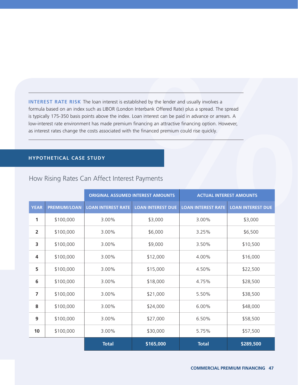**INTEREST RATE RISK** The loan interest is established by the lender and usually involves a formula based on an index such as LIBOR (London Interbank Offered Rate) plus a spread. The spread is typically 175-350 basis points above the index. Loan interest can be paid in advance or arrears. A low-interest rate environment has made premium financing an attractive financing option. However, as interest rates change the costs associated with the financed premium could rise quickly.

#### **HYPOTHETICAL CASE STUDY**

|                |                     | <b>ORIGINAL ASSUMED INTEREST AMOUNTS</b> |                          |                           | <b>ACTUAL INTEREST AMOUNTS</b> |
|----------------|---------------------|------------------------------------------|--------------------------|---------------------------|--------------------------------|
| <b>YEAR</b>    | <b>PREMIUM/LOAN</b> | <b>LOAN INTEREST RATE</b>                | <b>LOAN INTEREST DUE</b> | <b>LOAN INTEREST RATE</b> | <b>LOAN INTEREST DUE</b>       |
| 1              | \$100,000           | 3.00%                                    | \$3,000                  | 3.00%                     | \$3,000                        |
| $\overline{2}$ | \$100,000           | 3.00%                                    | \$6,000                  | 3.25%                     | \$6,500                        |
| 3              | \$100,000           | 3.00%                                    | \$9,000                  | 3.50%                     | \$10,500                       |
| $\overline{4}$ | \$100,000           | 3.00%                                    | \$12,000                 | 4.00%                     | \$16,000                       |
| 5              | \$100,000           | 3.00%                                    | \$15,000                 | 4.50%                     | \$22,500                       |
| 6              | \$100,000           | 3.00%                                    | \$18,000                 | 4.75%                     | \$28,500                       |
| $\overline{7}$ | \$100,000           | 3.00%                                    | \$21,000                 | 5.50%                     | \$38,500                       |
| 8              | \$100,000           | 3.00%                                    | \$24,000                 | 6.00%                     | \$48,000                       |
| 9              | \$100,000           | 3.00%                                    | \$27,000                 | 6.50%                     | \$58,500                       |
| 10             | \$100,000           | 3.00%                                    | \$30,000                 | 5.75%                     | \$57,500                       |
|                |                     | <b>Total</b>                             | \$165,000                | <b>Total</b>              | \$289,500                      |

#### How Rising Rates Can Affect Interest Payments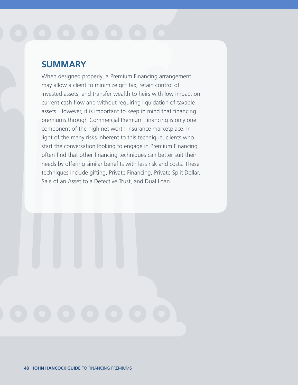#### **SUMMARY**

When designed properly, a Premium Financing arrangement may allow a client to minimize gift tax, retain control of invested assets, and transfer wealth to heirs with low impact on current cash flow and without requiring liquidation of taxable assets. However, it is important to keep in mind that financing premiums through Commercial Premium Financing is only one component of the high net worth insurance marketplace. In light of the many risks inherent to this technique, clients who start the conversation looking to engage in Premium Financing often find that other financing techniques can better suit their needs by offering similar benefits with less risk and costs. These techniques include gifting, Private Financing, Private Split Dollar, Sale of an Asset to a Defective Trust, and Dual Loan.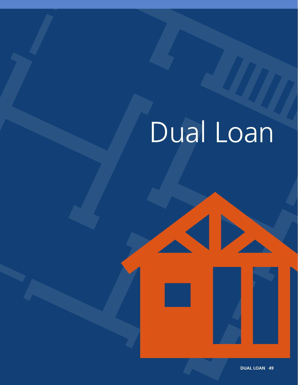## Dual Loan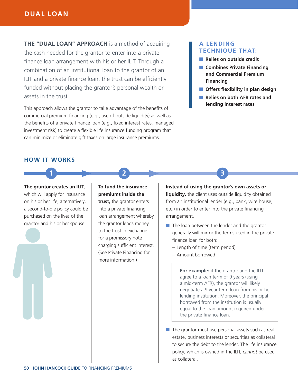#### **DUAL LOAN**

**THE "DUAL LOAN" APPROACH** is a method of acquiring the cash needed for the grantor to enter into a private finance loan arrangement with his or her ILIT. Through a combination of an institutional loan to the grantor of an ILIT and a private finance loan, the trust can be efficiently funded without placing the grantor's personal wealth or assets in the trust.

This approach allows the grantor to take advantage of the benefits of commercial premium financing (e.g., use of outside liquidity) as well as the benefits of a private finance loan (e.g., fixed interest rates, managed investment risk) to create a flexible life insurance funding program that can minimize or eliminate gift taxes on large insurance premiums.

#### **A LENDING TECHNIQUE THAT:**

- **Relies on outside credit**
- **Combines Private Financing and Commercial Premium Financing**
- **Offers flexibility in plan design**
- **Relies on both AFR rates and lending interest rates**

#### **HOW IT WORKS**

**The grantor creates an ILIT,** which will apply for insurance on his or her life; alternatively, a second-to-die policy could be purchased on the lives of the grantor and his or her spouse.

**To fund the insurance premiums inside the trust,** the grantor enters into a private financing loan arrangement whereby the grantor lends money to the trust in exchange for a promissory note charging sufficient interest. (See Private Financing for more information.)

**1 2 3**

**Instead of using the grantor's own assets or** 

liquidity, the client uses outside liquidity obtained from an institutional lender (e.g., bank, wire house, etc.) in order to enter into the private financing arrangement.

- The loan between the lender and the grantor generally will mirror the terms used in the private finance loan for both:
	- Length of time (term period)
	- Amount borrowed

**For example:** if the grantor and the ILIT agree to a loan term of 9 years (using a mid-term AFR), the grantor will likely negotiate a 9 year term loan from his or her lending institution. Moreover, the principal borrowed from the institution is usually equal to the loan amount required under the private finance loan.

■ The grantor must use personal assets such as real estate, business interests or securities as collateral to secure the debt to the lender. The life insurance policy, which is owned in the ILIT, *cannot* be used as collateral.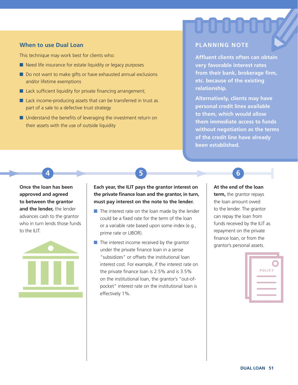#### **When to use Dual Loan**

This technique may work best for clients who:

- Need life insurance for estate liquidity or legacy purposes
- Do not want to make gifts or have exhausted annual exclusions and/or lifetime exemptions
- Lack sufficient liquidity for private financing arrangement;
- Lack income-producing assets that can be transferred in trust as part of a sale to a defective trust strategy
- Understand the benefits of leveraging the investment return on their assets with the use of outside liquidity

#### **PLANNING NOTE**

**Affluent clients often can obtain very favorable interest rates from their bank, brokerage firm, etc. because of the existing relationship.**

**Alternatively, clients may have personal credit lines available to them, which would allow them immediate access to funds without negotiation as the terms of the credit line have already been established.**

**Once the loan has been approved and agreed to between the grantor and the lender,** the lender advances cash to the grantor who in turn lends those funds to the ILIT.



**Each year, the ILIT pays the grantor interest on the private finance loan and the grantor, in turn, must pay interest on the note to the lender.** 

**4 5 6**

- The interest rate on the loan made by the lender could be a fixed rate for the term of the loan or a variable rate based upon some index (e.g., prime rate or LIBOR).
- $\blacksquare$  The interest income received by the grantor under the private finance loan in a sense "subsidizes" or offsets the institutional loan interest cost. For example, if the interest rate on the private finance loan is 2.5% and is 3.5% on the institutional loan, the grantor's "out-ofpocket" interest rate on the institutional loan is effectively 1%.

#### **At the end of the loan**

**term,** the grantor repays the loan amount owed to the lender. The grantor can repay the loan from funds received by the ILIT as repayment on the private finance loan, or from the grantor's personal assets.

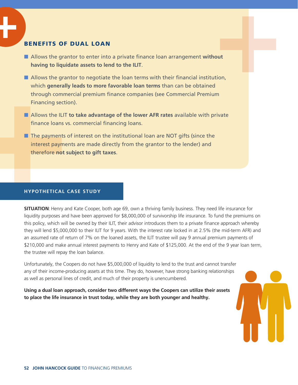#### BENEFITS OF DUAL LOAN

- Allows the grantor to enter into a private finance loan arrangement **without having to liquidate assets to lend to the ILIT**.
- Allows the grantor to negotiate the loan terms with their financial institution, which **generally leads to more favorable loan terms** than can be obtained through commercial premium finance companies (see Commercial Premium Financing section).
- Allows the ILIT **to take advantage of the lower AFR rates** available with private finance loans vs. commercial financing loans.
- The payments of interest on the institutional loan are NOT gifts (since the interest payments are made directly from the grantor to the lender) and therefore **not subject to gift taxes**.

#### **HYPOTHETICAL CASE STUDY**

**SITUATION**: Henry and Kate Cooper, both age 69, own a thriving family business. They need life insurance for liquidity purposes and have been approved for \$8,000,000 of survivorship life insurance. To fund the premiums on this policy, which will be owned by their ILIT, their advisor introduces them to a private finance approach whereby they will lend \$5,000,000 to their ILIT for 9 years. With the interest rate locked in at 2.5% (the mid-term AFR) and an assumed rate of return of 7% on the loaned assets, the ILIT trustee will pay 9 annual premium payments of \$210,000 and make annual interest payments to Henry and Kate of \$125,000. At the end of the 9 year loan term, the trustee will repay the loan balance.

Unfortunately, the Coopers do not have \$5,000,000 of liquidity to lend to the trust and cannot transfer any of their income-producing assets at this time. They do, however, have strong banking relationships as well as personal lines of credit, and much of their property is unencumbered.

**Using a dual loan approach, consider two different ways the Coopers can utilize their assets to place the life insurance in trust today, while they are both younger and healthy.**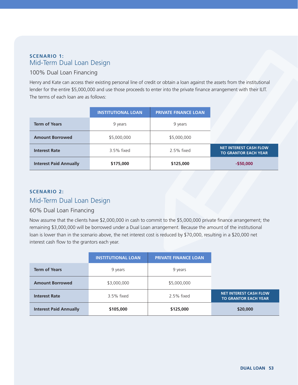#### **SCENARIO 1:**  Mid-Term Dual Loan Design

#### 100% Dual Loan Financing

Henry and Kate can access their existing personal line of credit or obtain a loan against the assets from the institutional lender for the entire \$5,000,000 and use those proceeds to enter into the private finance arrangement with their ILIT. The terms of each loan are as follows:

|                               | <b>INSTITUTIONAL LOAN</b> | <b>PRIVATE FINANCE LOAN</b> |
|-------------------------------|---------------------------|-----------------------------|
| <b>Term of Years</b>          | 9 years                   | 9 years                     |
| <b>Amount Borrowed</b>        | \$5,000,000               | \$5,000,000                 |
| <b>Interest Rate</b>          | 3.5% fixed                | $2.5%$ fixed                |
| <b>Interest Paid Annually</b> | \$175,000                 | \$125,000                   |

#### **SCENARIO 2:**  Mid-Term Dual Loan Design

#### 60% Dual Loan Financing

Now assume that the clients have \$2,000,000 in cash to commit to the \$5,000,000 private finance arrangement; the remaining \$3,000,000 will be borrowed under a Dual Loan arrangement. Because the amount of the institutional loan is lower than in the scenario above, the net interest cost is reduced by \$70,000, resulting in a \$20,000 net interest cash flow to the grantors each year.

|                               | <b>INSTITUTIONAL LOAN</b> | <b>PRIVATE FINANCE LOAN</b> |                                                              |
|-------------------------------|---------------------------|-----------------------------|--------------------------------------------------------------|
| <b>Term of Years</b>          | 9 years                   | 9 years                     |                                                              |
| <b>Amount Borrowed</b>        | \$3,000,000               | \$5,000,000                 |                                                              |
| <b>Interest Rate</b>          | 3.5% fixed                | 2.5% fixed                  | <b>NET INTEREST CASH FLOW</b><br><b>TO GRANTOR EACH YEAR</b> |
| <b>Interest Paid Annually</b> | \$105,000                 | \$125,000                   | \$20,000                                                     |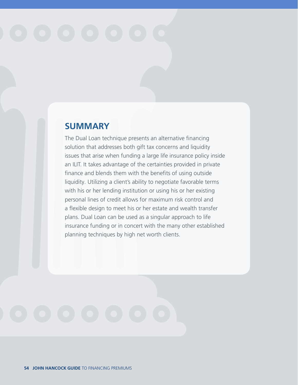#### **SUMMARY**

The Dual Loan technique presents an alternative financing solution that addresses both gift tax concerns and liquidity issues that arise when funding a large life insurance policy inside an ILIT. It takes advantage of the certainties provided in private finance and blends them with the benefits of using outside liquidity. Utilizing a client's ability to negotiate favorable terms with his or her lending institution or using his or her existing personal lines of credit allows for maximum risk control and a flexible design to meet his or her estate and wealth transfer plans. Dual Loan can be used as a singular approach to life insurance funding or in concert with the many other established planning techniques by high net worth clients.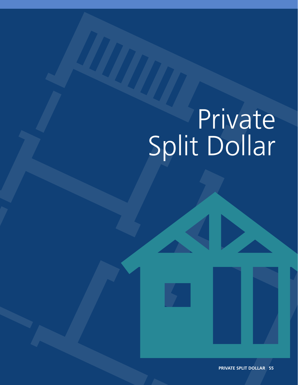## Private Split Dollar

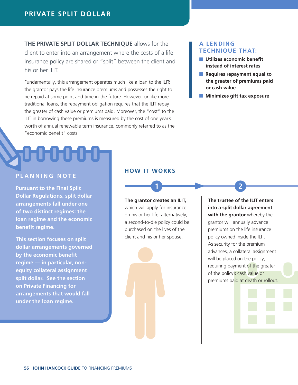**THE PRIVATE SPLIT DOLLAR TECHNIQUE** allows for the client to enter into an arrangement where the costs of a life insurance policy are shared or "split" between the client and his or her ILIT.

Fundamentally, this arrangement operates much like a loan to the ILIT: the grantor pays the life insurance premiums and possesses the right to be repaid at some point and time in the future. However, unlike more traditional loans, the repayment obligation requires that the ILIT repay the greater of cash value or premiums paid. Moreover, the "cost" to the ILIT in borrowing these premiums is measured by the cost of one year's worth of annual renewable term insurance, commonly referred to as the "economic benefit" costs.

#### **PLANNING NOTE**

**Pursuant to the Final Split Dollar Regulations, split dollar arrangements fall under one of two distinct regimes: the loan regime and the economic benefit regime.** 

**This section focuses on split dollar arrangements governed by the economic benefit regime — in particular, nonequity collateral assignment split dollar. See the section on Private Financing for arrangements that would fall under the loan regime.** 

#### **HOW IT WORKS**

**The grantor creates an ILIT,**  which will apply for insurance on his or her life; alternatively, a second-to-die policy could be purchased on the lives of the client and his or her spouse.

**1 2**

#### **A LENDING TECHNIQUE THAT:**

- Utilizes economic benefit **instead of interest rates**
- **Requires repayment equal to the greater of premiums paid or cash value**
- Minimizes gift tax exposure

**The trustee of the ILIT enters into a split dollar agreement with the grantor** whereby the grantor will annually advance premiums on the life insurance policy owned inside the ILIT. As security for the premium advances, a collateral assignment will be placed on the policy, requiring payment of the greater of the policy's cash value or premiums paid at death or rollout.

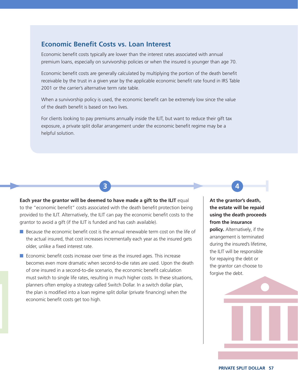#### **Economic Benefit Costs vs. Loan Interest**

Economic benefit costs typically are lower than the interest rates associated with annual premium loans, especially on survivorship policies or when the insured is younger than age 70.

Economic benefit costs are generally calculated by multiplying the portion of the death benefit receivable by the trust in a given year by the applicable economic benefit rate found in IRS Table 2001 or the carrier's alternative term rate table.

When a survivorship policy is used, the economic benefit can be extremely low since the value of the death benefit is based on two lives.

For clients looking to pay premiums annually inside the ILIT, but want to reduce their gift tax exposure, a private split dollar arrangement under the economic benefit regime may be a helpful solution.

**3 4**

**Each year the grantor will be deemed to have made a gift to the ILIT** equal to the "economic benefit" costs associated with the death benefit protection being provided to the ILIT. Alternatively, the ILIT can pay the economic benefit costs to the grantor to avoid a gift (if the ILIT is funded and has cash available).

- Because the economic benefit cost is the annual renewable term cost on the life of the actual insured, that cost increases incrementally each year as the insured gets older, unlike a fixed interest rate.
- Economic benefit costs increase over time as the insured ages. This increase becomes even more dramatic when second-to-die rates are used. Upon the death of one insured in a second-to-die scenario, the economic benefit calculation must switch to single life rates, resulting in much higher costs. In these situations, planners often employ a strategy called Switch Dollar. In a switch dollar plan, the plan is modified into a loan regime split dollar (private financing) when the economic benefit costs get too high.

**At the grantor's death, the estate will be repaid using the death proceeds from the insurance policy.** Alternatively, if the arrangement is terminated during the insured's lifetime, the ILIT will be responsible for repaying the debt or the grantor can choose to forgive the debt.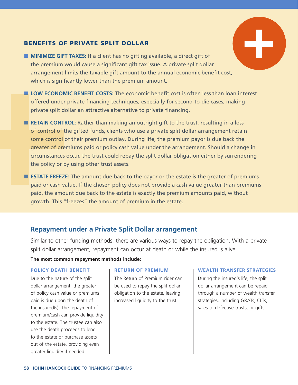#### BENEFITS OF PRIVATE SPLIT DOLLAR

- **MINIMIZE GIFT TAXES:** If a client has no gifting available, a direct gift of the premium would cause a significant gift tax issue. A private split dollar arrangement limits the taxable gift amount to the annual economic benefit cost, which is significantly lower than the premium amount.
- **LOW ECONOMIC BENEFIT COSTS:** The economic benefit cost is often less than loan interest offered under private financing techniques, especially for second-to-die cases, making private split dollar an attractive alternative to private financing.
- **RETAIN CONTROL:** Rather than making an outright gift to the trust, resulting in a loss of control of the gifted funds, clients who use a private split dollar arrangement retain some control of their premium outlay. During life, the premium payor is due back the greater of premiums paid or policy cash value under the arrangement. Should a change in circumstances occur, the trust could repay the split dollar obligation either by surrendering the policy or by using other trust assets.
- **ESTATE FREEZE:** The amount due back to the payor or the estate is the greater of premiums paid or cash value. If the chosen policy does not provide a cash value greater than premiums paid, the amount due back to the estate is exactly the premium amounts paid, without growth. This "freezes" the amount of premium in the estate.

#### **Repayment under a Private Split Dollar arrangement**

Similar to other funding methods, there are various ways to repay the obligation. With a private split dollar arrangement, repayment can occur at death or while the insured is alive.

#### **The most common repayment methods include:**

#### **POLICY DEATH BENEFIT**

Due to the nature of the split dollar arrangement, the greater of policy cash value or premiums paid is due upon the death of the insured(s). The repayment of premium/cash can provide liquidity to the estate. The trustee can also use the death proceeds to lend to the estate or purchase assets out of the estate, providing even greater liquidity if needed.

#### **RETURN OF PREMIUM**

The Return of Premium rider can be used to repay the split dollar obligation to the estate, leaving increased liquidity to the trust.

#### **WEALTH TRANSFER STRATEGIES**

During the insured's life, the split dollar arrangement can be repaid through a number of wealth transfer strategies, including GRATs, CLTs, sales to defective trusts, or gifts.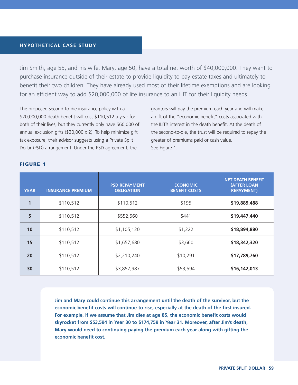#### **HYPOTHETICAL CASE STUDY**

Jim Smith, age 55, and his wife, Mary, age 50, have a total net worth of \$40,000,000. They want to purchase insurance outside of their estate to provide liquidity to pay estate taxes and ultimately to benefit their two children. They have already used most of their lifetime exemptions and are looking for an efficient way to add \$20,000,000 of life insurance to an ILIT for their liquidity needs.

The proposed second-to-die insurance policy with a \$20,000,000 death benefit will cost \$110,512 a year for both of their lives, but they currently only have \$60,000 of annual exclusion gifts (\$30,000 x 2). To help minimize gift tax exposure, their advisor suggests using a Private Split Dollar (PSD) arrangement. Under the PSD agreement, the

grantors will pay the premium each year and will make a gift of the "economic benefit" costs associated with the ILIT's interest in the death benefit. At the death of the second-to-die, the trust will be required to repay the greater of premiums paid or cash value. See Figure 1.

| <b>YEAR</b>  | <b>INSURANCE PREMIUM</b> | <b>PSD REPAYMENT</b><br><b>OBLIGATION</b> | <b>ECONOMIC</b><br><b>BENEFIT COSTS</b> | <b>NET DEATH BENEFIT</b><br><b>(AFTER LOAN</b><br><b>REPAYMENT)</b> |
|--------------|--------------------------|-------------------------------------------|-----------------------------------------|---------------------------------------------------------------------|
| $\mathbf{1}$ | \$110,512                | \$110,512                                 | \$195                                   | \$19,889,488                                                        |
| 5            | \$110,512                | \$552,560                                 | \$441                                   | \$19,447,440                                                        |
| 10           | \$110,512                | \$1,105,120                               | \$1,222                                 | \$18,894,880                                                        |
| 15           | \$110,512                | \$1,657,680                               | \$3,660                                 | \$18,342,320                                                        |
| 20           | \$110,512                | \$2,210,240                               | \$10,291                                | \$17,789,760                                                        |
| 30           | \$110,512                | \$3,857,987                               | \$53,594                                | \$16,142,013                                                        |

#### FIGURE 1

**Jim and Mary could continue this arrangement until the death of the survivor, but the economic benefit costs will continue to rise, especially at the death of the first insured. For example, if we assume that Jim dies at age 85, the economic benefit costs would skyrocket from \$53,594 in Year 30 to \$174,759 in Year 31. Moreover, after Jim's death, Mary would need to continuing paying the premium each year along with gifting the economic benefit cost.**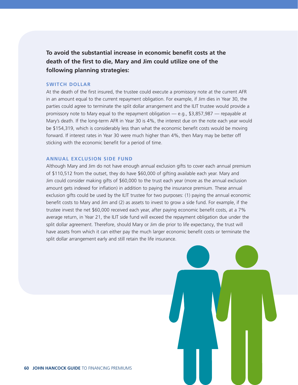**To avoid the substantial increase in economic benefit costs at the death of the first to die, Mary and Jim could utilize one of the following planning strategies:**

#### **SWITCH DOLLAR**

At the death of the first insured, the trustee could execute a promissory note at the current AFR in an amount equal to the current repayment obligation. For example, if Jim dies in Year 30, the parties could agree to terminate the split dollar arrangement and the ILIT trustee would provide a promissory note to Mary equal to the repayment obligation — e.g., \$3,857,987 — repayable at Mary's death. If the long-term AFR in Year 30 is 4%, the interest due on the note each year would be \$154,319, which is considerably less than what the economic benefit costs would be moving forward. If interest rates in Year 30 were much higher than 4%, then Mary may be better off sticking with the economic benefit for a period of time.

#### **ANNUAL EXCLUSION SIDE FUND**

Although Mary and Jim do not have enough annual exclusion gifts to cover each annual premium of \$110,512 from the outset, they do have \$60,000 of gifting available each year. Mary and Jim could consider making gifts of \$60,000 to the trust each year (more as the annual exclusion amount gets indexed for inflation) in addition to paying the insurance premium. These annual exclusion gifts could be used by the ILIT trustee for two purposes: (1) paying the annual economic benefit costs to Mary and Jim and (2) as assets to invest to grow a side fund. For example, if the trustee invest the net \$60,000 received each year, after paying economic benefit costs, at a 7% average return, in Year 21, the ILIT side fund will exceed the repayment obligation due under the split dollar agreement. Therefore, should Mary or Jim die prior to life expectancy, the trust will have assets from which it can either pay the much larger economic benefit costs or terminate the split dollar arrangement early and still retain the life insurance.

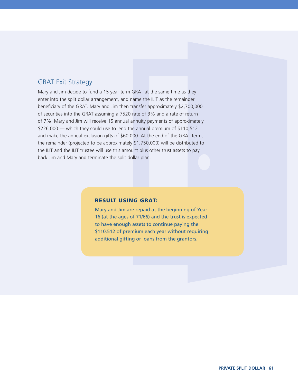#### GRAT Exit Strategy

Mary and Jim decide to fund a 15 year term GRAT at the same time as they enter into the split dollar arrangement, and name the ILIT as the remainder beneficiary of the GRAT. Mary and Jim then transfer approximately \$2,700,000 of securities into the GRAT assuming a 7520 rate of 3% and a rate of return of 7%. Mary and Jim will receive 15 annual annuity payments of approximately \$226,000 — which they could use to lend the annual premium of \$110,512 and make the annual exclusion gifts of \$60,000. At the end of the GRAT term, the remainder (projected to be approximately \$1,750,000) will be distributed to the ILIT and the ILIT trustee will use this amount plus other trust assets to pay back Jim and Mary and terminate the split dollar plan.

#### RESULT USING GRAT:

Mary and Jim are repaid at the beginning of Year 16 (at the ages of 71/66) and the trust is expected to have enough assets to continue paying the \$110,512 of premium each year without requiring additional gifting or loans from the grantors.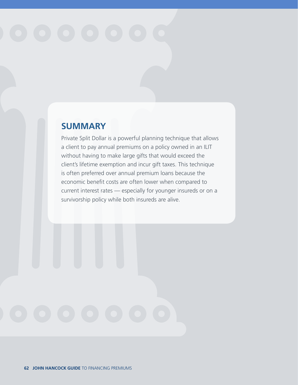### **SUMMARY**

Private Split Dollar is a powerful planning technique that allows a client to pay annual premiums on a policy owned in an ILIT without having to make large gifts that would exceed the client's lifetime exemption and incur gift taxes. This technique is often preferred over annual premium loans because the economic benefit costs are often lower when compared to current interest rates — especially for younger insureds or on a survivorship policy while both insureds are alive.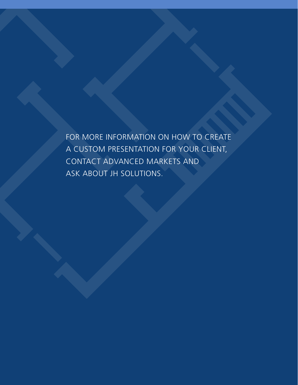FOR MORE INFORMATION ON HOW TO CREATE A CUSTOM PRESENTATION FOR YOUR CLIENT, CONTACT ADVANCED MARKETS AND ASK ABOUT JH SOLUTIONS.